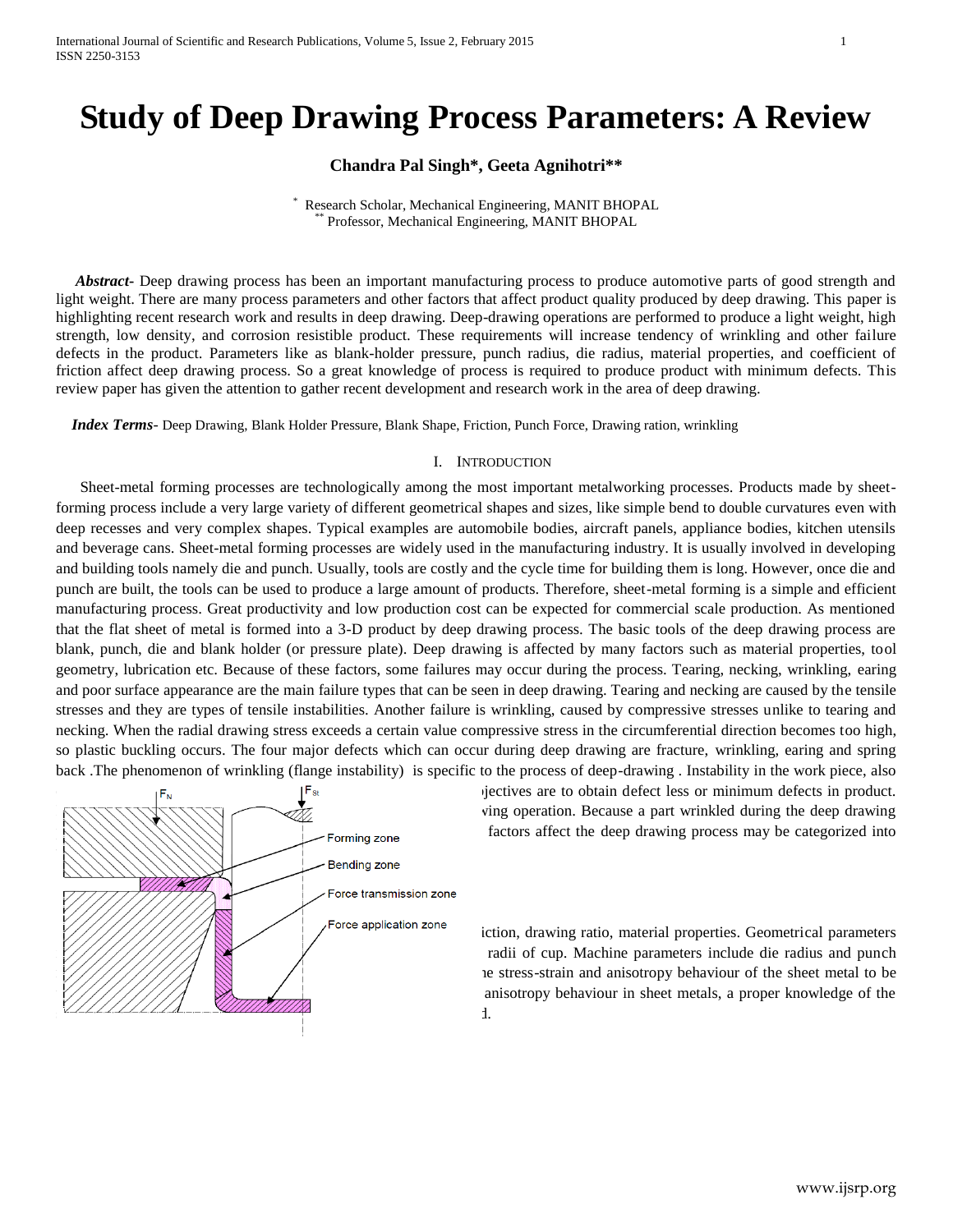# **Study of Deep Drawing Process Parameters: A Review**

## **Chandra Pal Singh\*, Geeta Agnihotri\*\***

\* Research Scholar, Mechanical Engineering, MANIT BHOPAL \*\* Professor, Mechanical Engineering, MANIT BHOPAL

 *Abstract***-** Deep drawing process has been an important manufacturing process to produce automotive parts of good strength and light weight. There are many process parameters and other factors that affect product quality produced by deep drawing. This paper is highlighting recent research work and results in deep drawing. Deep-drawing operations are performed to produce a light weight, high strength, low density, and corrosion resistible product. These requirements will increase tendency of wrinkling and other failure defects in the product. Parameters like as blank-holder pressure, punch radius, die radius, material properties, and coefficient of friction affect deep drawing process. So a great knowledge of process is required to produce product with minimum defects. This review paper has given the attention to gather recent development and research work in the area of deep drawing.

 *Index Terms*- Deep Drawing, Blank Holder Pressure, Blank Shape, Friction, Punch Force, Drawing ration, wrinkling

## I. INTRODUCTION

Sheet-metal forming processes are technologically among the most important metalworking processes. Products made by sheetforming process include a very large variety of different geometrical shapes and sizes, like simple bend to double curvatures even with deep recesses and very complex shapes. Typical examples are automobile bodies, aircraft panels, appliance bodies, kitchen utensils and beverage cans. Sheet-metal forming processes are widely used in the manufacturing industry. It is usually involved in developing and building tools namely die and punch. Usually, tools are costly and the cycle time for building them is long. However, once die and punch are built, the tools can be used to produce a large amount of products. Therefore, sheet-metal forming is a simple and efficient manufacturing process. Great productivity and low production cost can be expected for commercial scale production. As mentioned that the flat sheet of metal is formed into a 3-D product by deep drawing process. The basic tools of the deep drawing process are blank, punch, die and blank holder (or pressure plate). Deep drawing is affected by many factors such as material properties, tool geometry, lubrication etc. Because of these factors, some failures may occur during the process. Tearing, necking, wrinkling, earing and poor surface appearance are the main failure types that can be seen in deep drawing. Tearing and necking are caused by the tensile stresses and they are types of tensile instabilities. Another failure is wrinkling, caused by compressive stresses unlike to tearing and necking. When the radial drawing stress exceeds a certain value compressive stress in the circumferential direction becomes too high, so plastic buckling occurs. The four major defects which can occur during deep drawing are fracture, wrinkling, earing and spring back .The phenomenon of wrinkling (flange instability) is specific to the process of deep-drawing . Instability in the work piece, also



 $|F_{st}$  iectives are to obtain defect less or minimum defects in product. ving operation. Because a part wrinkled during the deep drawing Forming zone **and most likely and most likely become a** factors affect the deep drawing process may be categorized into

Force application zone include include include ratio, material properties. Geometrical parameters radii of cup. Machine parameters include die radius and punch re stress-strain and anisotropy behaviour of the sheet metal to be anisotropy behaviour in sheet metals, a proper knowledge of the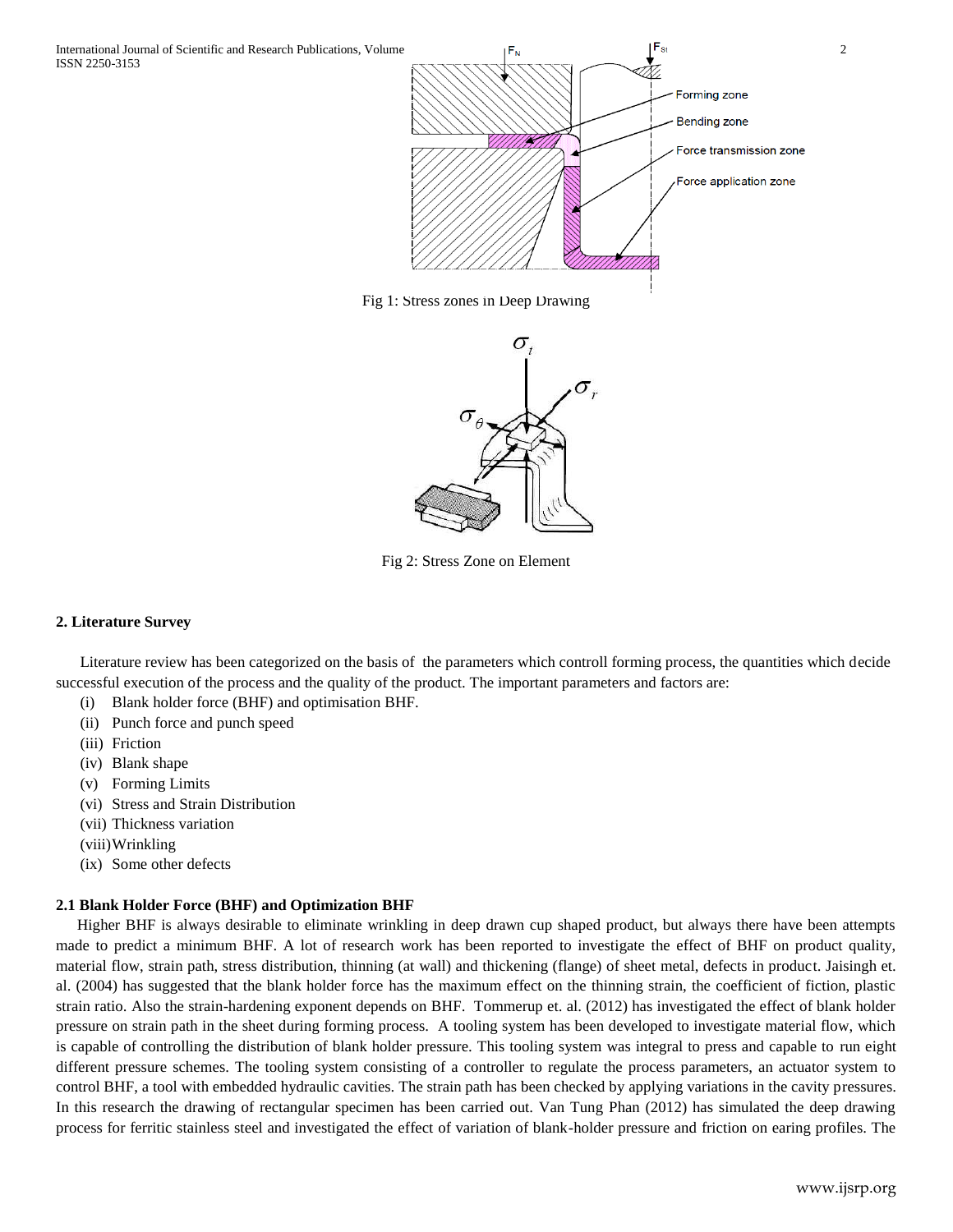

Fig 1: Stress zones in Deep Drawing



Fig 2: Stress Zone on Element

## **2. Literature Survey**

Literature review has been categorized on the basis of the parameters which controll forming process, the quantities which decide successful execution of the process and the quality of the product. The important parameters and factors are:

- (i) Blank holder force (BHF) and optimisation BHF.
- (ii) Punch force and punch speed
- (iii) Friction
- (iv) Blank shape
- (v) Forming Limits
- (vi) Stress and Strain Distribution
- (vii) Thickness variation
- (viii)Wrinkling
- (ix) Some other defects

## **2.1 Blank Holder Force (BHF) and Optimization BHF**

Higher BHF is always desirable to eliminate wrinkling in deep drawn cup shaped product, but always there have been attempts made to predict a minimum BHF. A lot of research work has been reported to investigate the effect of BHF on product quality, material flow, strain path, stress distribution, thinning (at wall) and thickening (flange) of sheet metal, defects in product. Jaisingh et. al. (2004) has suggested that the blank holder force has the maximum effect on the thinning strain, the coefficient of fiction, plastic strain ratio. Also the strain-hardening exponent depends on BHF. Tommerup et. al. (2012) has investigated the effect of blank holder pressure on strain path in the sheet during forming process. A tooling system has been developed to investigate material flow, which is capable of controlling the distribution of blank holder pressure. This tooling system was integral to press and capable to run eight different pressure schemes. The tooling system consisting of a controller to regulate the process parameters, an actuator system to control BHF, a tool with embedded hydraulic cavities. The strain path has been checked by applying variations in the cavity pressures. In this research the drawing of rectangular specimen has been carried out. Van Tung Phan (2012) has simulated the deep drawing process for ferritic stainless steel and investigated the effect of variation of blank-holder pressure and friction on earing profiles. The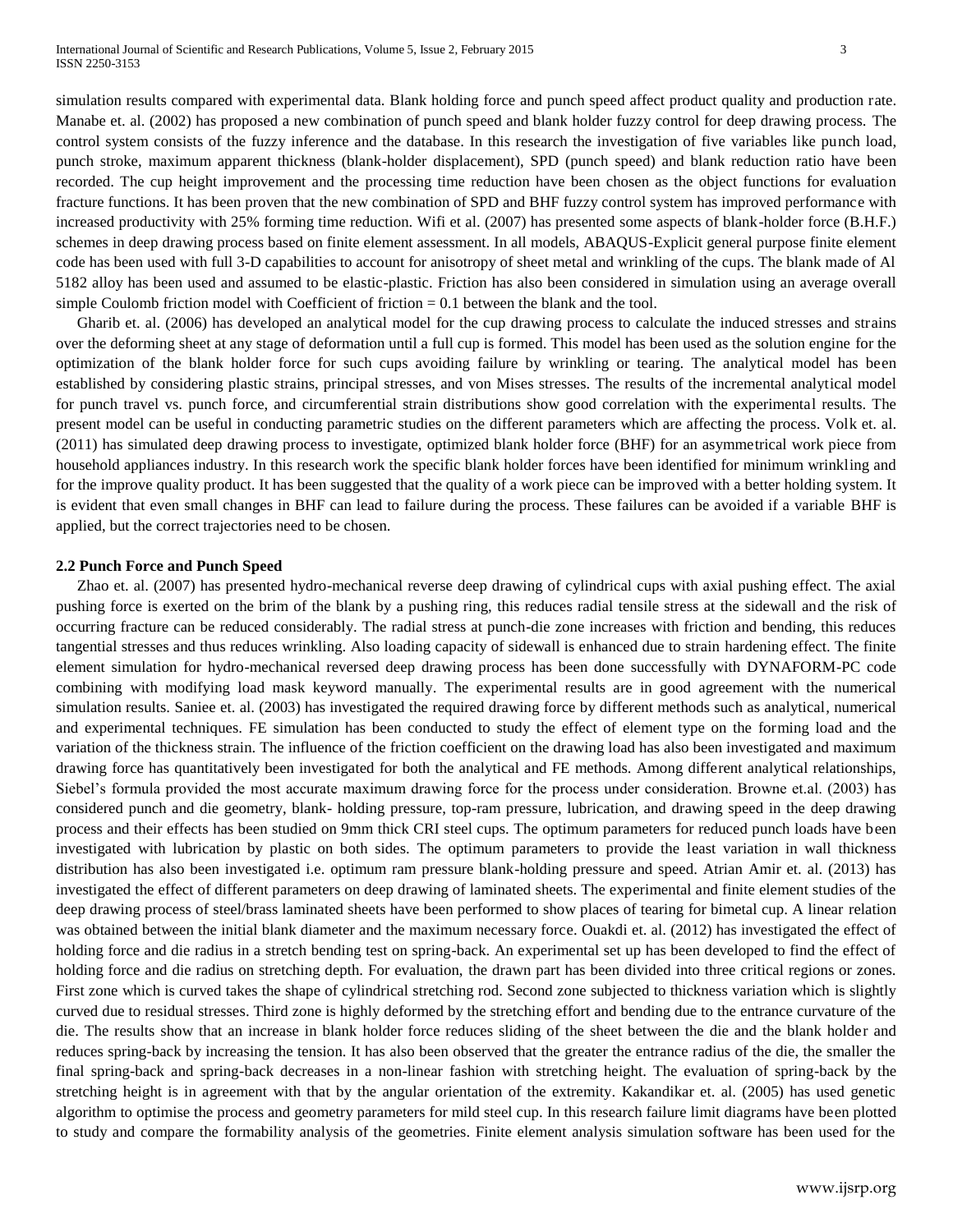simulation results compared with experimental data. Blank holding force and punch speed affect product quality and production rate. Manabe et. al. (2002) has proposed a new combination of punch speed and blank holder fuzzy control for deep drawing process. The control system consists of the fuzzy inference and the database. In this research the investigation of five variables like punch load, punch stroke, maximum apparent thickness (blank-holder displacement), SPD (punch speed) and blank reduction ratio have been recorded. The cup height improvement and the processing time reduction have been chosen as the object functions for evaluation fracture functions. It has been proven that the new combination of SPD and BHF fuzzy control system has improved performance with increased productivity with 25% forming time reduction. Wifi et al. (2007) has presented some aspects of blank-holder force (B.H.F.) schemes in deep drawing process based on finite element assessment. In all models, ABAQUS-Explicit general purpose finite element code has been used with full 3-D capabilities to account for anisotropy of sheet metal and wrinkling of the cups. The blank made of Al 5182 alloy has been used and assumed to be elastic-plastic. Friction has also been considered in simulation using an average overall simple Coulomb friction model with Coefficient of friction = 0.1 between the blank and the tool.

Gharib et. al. (2006) has developed an analytical model for the cup drawing process to calculate the induced stresses and strains over the deforming sheet at any stage of deformation until a full cup is formed. This model has been used as the solution engine for the optimization of the blank holder force for such cups avoiding failure by wrinkling or tearing. The analytical model has been established by considering plastic strains, principal stresses, and von Mises stresses. The results of the incremental analytical model for punch travel vs. punch force, and circumferential strain distributions show good correlation with the experimental results. The present model can be useful in conducting parametric studies on the different parameters which are affecting the process. Volk et. al. (2011) has simulated deep drawing process to investigate, optimized blank holder force (BHF) for an asymmetrical work piece from household appliances industry. In this research work the specific blank holder forces have been identified for minimum wrinkling and for the improve quality product. It has been suggested that the quality of a work piece can be improved with a better holding system. It is evident that even small changes in BHF can lead to failure during the process. These failures can be avoided if a variable BHF is applied, but the correct trajectories need to be chosen.

## **2.2 Punch Force and Punch Speed**

Zhao et. al. (2007) has presented hydro-mechanical reverse deep drawing of cylindrical cups with axial pushing effect. The axial pushing force is exerted on the brim of the blank by a pushing ring, this reduces radial tensile stress at the sidewall and the risk of occurring fracture can be reduced considerably. The radial stress at punch-die zone increases with friction and bending, this reduces tangential stresses and thus reduces wrinkling. Also loading capacity of sidewall is enhanced due to strain hardening effect. The finite element simulation for hydro-mechanical reversed deep drawing process has been done successfully with DYNAFORM-PC code combining with modifying load mask keyword manually. The experimental results are in good agreement with the numerical simulation results. Saniee et. al. (2003) has investigated the required drawing force by different methods such as analytical, numerical and experimental techniques. FE simulation has been conducted to study the effect of element type on the forming load and the variation of the thickness strain. The influence of the friction coefficient on the drawing load has also been investigated and maximum drawing force has quantitatively been investigated for both the analytical and FE methods. Among different analytical relationships, Siebel's formula provided the most accurate maximum drawing force for the process under consideration. Browne et.al. (2003) has considered punch and die geometry, blank- holding pressure, top-ram pressure, lubrication, and drawing speed in the deep drawing process and their effects has been studied on 9mm thick CRI steel cups. The optimum parameters for reduced punch loads have been investigated with lubrication by plastic on both sides. The optimum parameters to provide the least variation in wall thickness distribution has also been investigated i.e. optimum ram pressure blank-holding pressure and speed. Atrian Amir et. al. (2013) has investigated the effect of different parameters on deep drawing of laminated sheets. The experimental and finite element studies of the deep drawing process of steel/brass laminated sheets have been performed to show places of tearing for bimetal cup. A linear relation was obtained between the initial blank diameter and the maximum necessary force. Ouakdi et. al. (2012) has investigated the effect of holding force and die radius in a stretch bending test on spring-back. An experimental set up has been developed to find the effect of holding force and die radius on stretching depth. For evaluation, the drawn part has been divided into three critical regions or zones. First zone which is curved takes the shape of cylindrical stretching rod. Second zone subjected to thickness variation which is slightly curved due to residual stresses. Third zone is highly deformed by the stretching effort and bending due to the entrance curvature of the die. The results show that an increase in blank holder force reduces sliding of the sheet between the die and the blank holder and reduces spring-back by increasing the tension. It has also been observed that the greater the entrance radius of the die, the smaller the final spring-back and spring-back decreases in a non-linear fashion with stretching height. The evaluation of spring-back by the stretching height is in agreement with that by the angular orientation of the extremity. Kakandikar et. al. (2005) has used genetic algorithm to optimise the process and geometry parameters for mild steel cup. In this research failure limit diagrams have been plotted to study and compare the formability analysis of the geometries. Finite element analysis simulation software has been used for the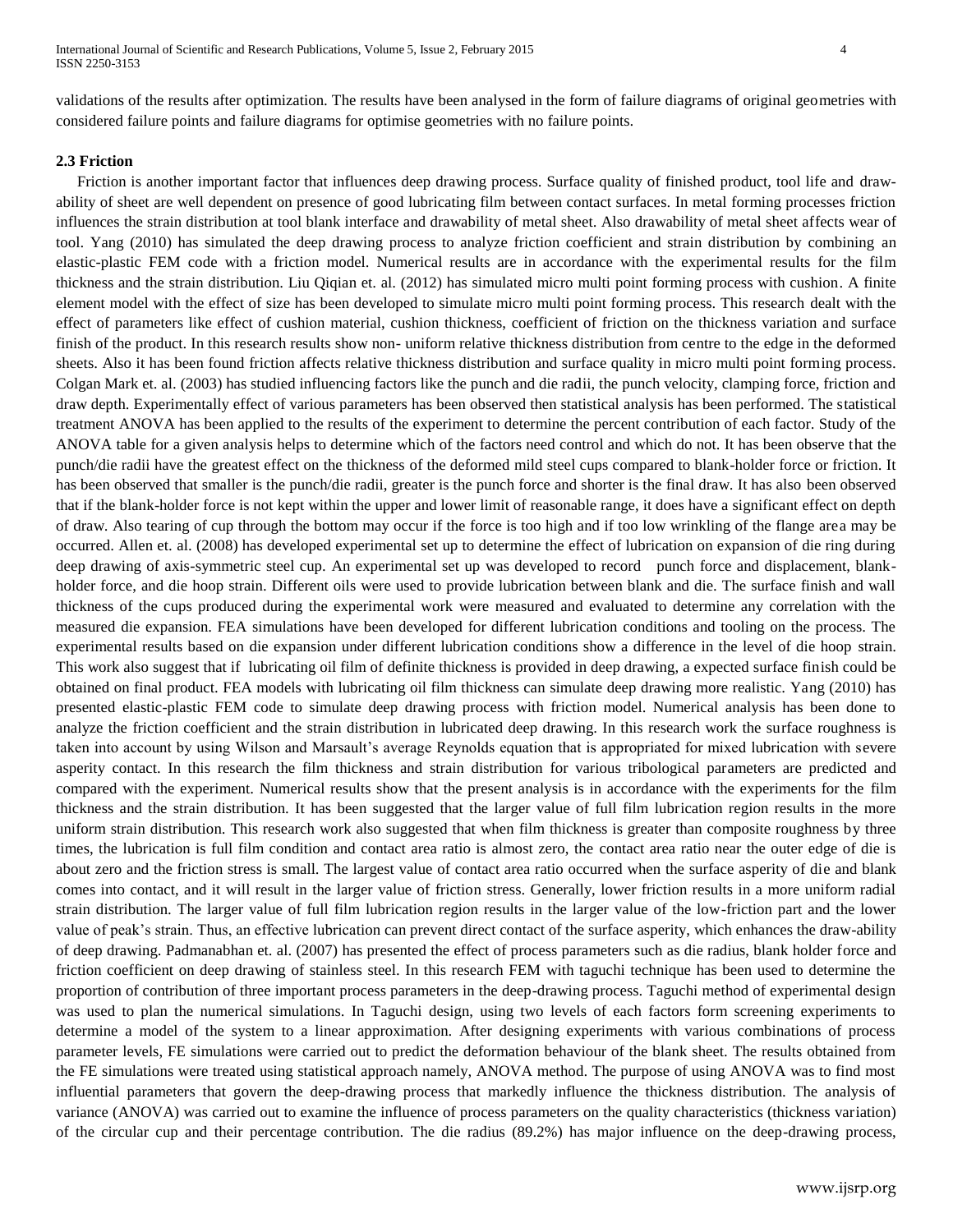validations of the results after optimization. The results have been analysed in the form of failure diagrams of original geometries with considered failure points and failure diagrams for optimise geometries with no failure points.

## **2.3 Friction**

Friction is another important factor that influences deep drawing process. Surface quality of finished product, tool life and drawability of sheet are well dependent on presence of good lubricating film between contact surfaces. In metal forming processes friction influences the strain distribution at tool blank interface and drawability of metal sheet. Also drawability of metal sheet affects wear of tool. Yang (2010) has simulated the deep drawing process to analyze friction coefficient and strain distribution by combining an elastic-plastic FEM code with a friction model. Numerical results are in accordance with the experimental results for the film thickness and the strain distribution. Liu Qiqian et. al. (2012) has simulated micro multi point forming process with cushion. A finite element model with the effect of size has been developed to simulate micro multi point forming process. This research dealt with the effect of parameters like effect of cushion material, cushion thickness, coefficient of friction on the thickness variation and surface finish of the product. In this research results show non- uniform relative thickness distribution from centre to the edge in the deformed sheets. Also it has been found friction affects relative thickness distribution and surface quality in micro multi point forming process. Colgan Mark et. al. (2003) has studied influencing factors like the punch and die radii, the punch velocity, clamping force, friction and draw depth. Experimentally effect of various parameters has been observed then statistical analysis has been performed. The statistical treatment ANOVA has been applied to the results of the experiment to determine the percent contribution of each factor. Study of the ANOVA table for a given analysis helps to determine which of the factors need control and which do not. It has been observe that the punch/die radii have the greatest effect on the thickness of the deformed mild steel cups compared to blank-holder force or friction. It has been observed that smaller is the punch/die radii, greater is the punch force and shorter is the final draw. It has also been observed that if the blank-holder force is not kept within the upper and lower limit of reasonable range, it does have a significant effect on depth of draw. Also tearing of cup through the bottom may occur if the force is too high and if too low wrinkling of the flange area may be occurred. Allen et. al. (2008) has developed experimental set up to determine the effect of lubrication on expansion of die ring during deep drawing of axis-symmetric steel cup. An experimental set up was developed to record punch force and displacement, blankholder force, and die hoop strain. Different oils were used to provide lubrication between blank and die. The surface finish and wall thickness of the cups produced during the experimental work were measured and evaluated to determine any correlation with the measured die expansion. FEA simulations have been developed for different lubrication conditions and tooling on the process. The experimental results based on die expansion under different lubrication conditions show a difference in the level of die hoop strain. This work also suggest that if lubricating oil film of definite thickness is provided in deep drawing, a expected surface finish could be obtained on final product. FEA models with lubricating oil film thickness can simulate deep drawing more realistic. Yang (2010) has presented elastic-plastic FEM code to simulate deep drawing process with friction model. Numerical analysis has been done to analyze the friction coefficient and the strain distribution in lubricated deep drawing. In this research work the surface roughness is taken into account by using Wilson and Marsault's average Reynolds equation that is appropriated for mixed lubrication with severe asperity contact. In this research the film thickness and strain distribution for various tribological parameters are predicted and compared with the experiment. Numerical results show that the present analysis is in accordance with the experiments for the film thickness and the strain distribution. It has been suggested that the larger value of full film lubrication region results in the more uniform strain distribution. This research work also suggested that when film thickness is greater than composite roughness by three times, the lubrication is full film condition and contact area ratio is almost zero, the contact area ratio near the outer edge of die is about zero and the friction stress is small. The largest value of contact area ratio occurred when the surface asperity of die and blank comes into contact, and it will result in the larger value of friction stress. Generally, lower friction results in a more uniform radial strain distribution. The larger value of full film lubrication region results in the larger value of the low-friction part and the lower value of peak's strain. Thus, an effective lubrication can prevent direct contact of the surface asperity, which enhances the draw-ability of deep drawing. Padmanabhan et. al. (2007) has presented the effect of process parameters such as die radius, blank holder force and friction coefficient on deep drawing of stainless steel. In this research FEM with taguchi technique has been used to determine the proportion of contribution of three important process parameters in the deep-drawing process. Taguchi method of experimental design was used to plan the numerical simulations. In Taguchi design, using two levels of each factors form screening experiments to determine a model of the system to a linear approximation. After designing experiments with various combinations of process parameter levels, FE simulations were carried out to predict the deformation behaviour of the blank sheet. The results obtained from the FE simulations were treated using statistical approach namely, ANOVA method. The purpose of using ANOVA was to find most influential parameters that govern the deep-drawing process that markedly influence the thickness distribution. The analysis of variance (ANOVA) was carried out to examine the influence of process parameters on the quality characteristics (thickness variation) of the circular cup and their percentage contribution. The die radius (89.2%) has major influence on the deep-drawing process,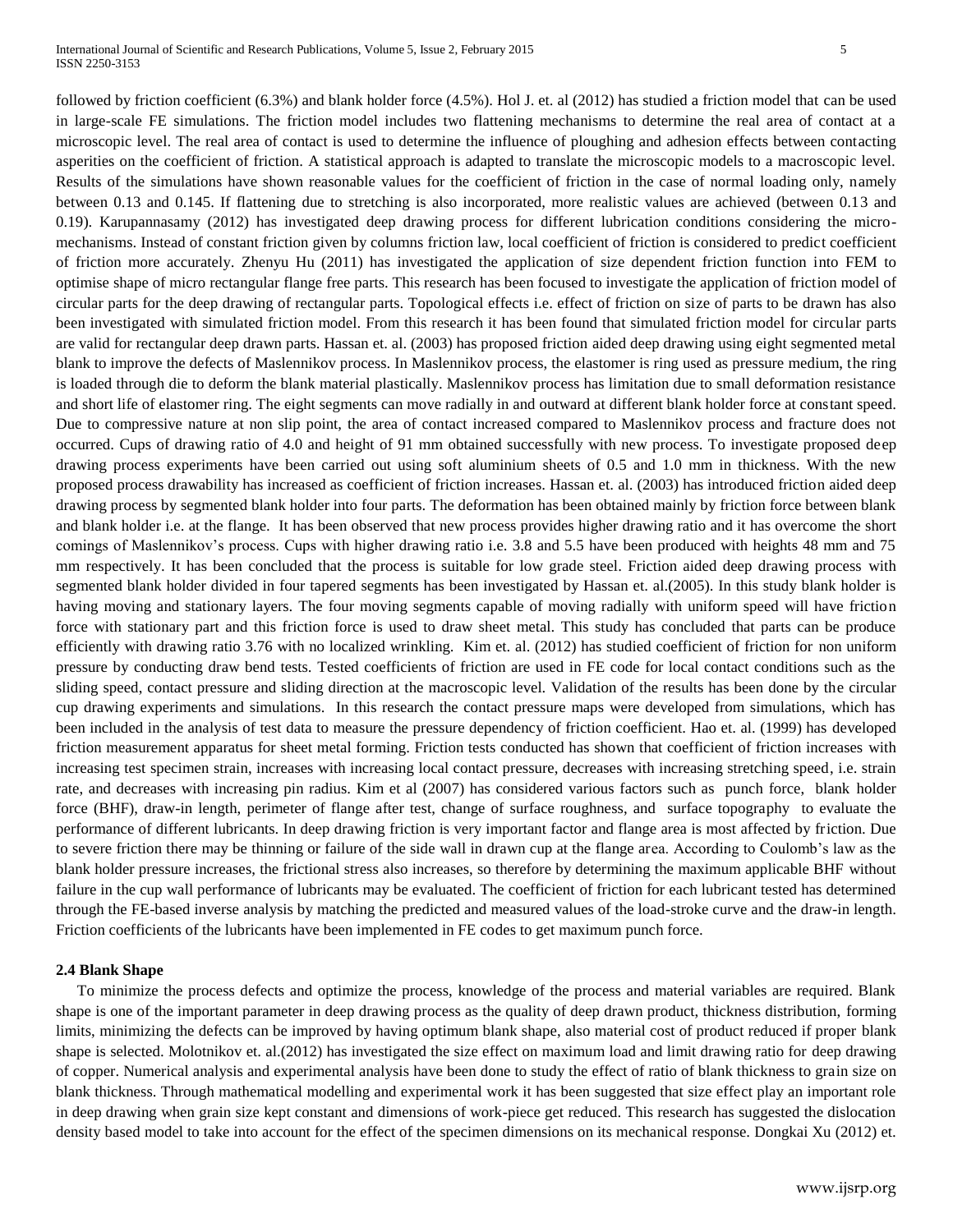followed by friction coefficient (6.3%) and blank holder force (4.5%). Hol J. et. al (2012) has studied a friction model that can be used in large-scale FE simulations. The friction model includes two flattening mechanisms to determine the real area of contact at a microscopic level. The real area of contact is used to determine the influence of ploughing and adhesion effects between contacting asperities on the coefficient of friction. A statistical approach is adapted to translate the microscopic models to a macroscopic level. Results of the simulations have shown reasonable values for the coefficient of friction in the case of normal loading only, namely between 0.13 and 0.145. If flattening due to stretching is also incorporated, more realistic values are achieved (between 0.13 and 0.19). Karupannasamy (2012) has investigated deep drawing process for different lubrication conditions considering the micromechanisms. Instead of constant friction given by columns friction law, local coefficient of friction is considered to predict coefficient of friction more accurately. Zhenyu Hu (2011) has investigated the application of size dependent friction function into FEM to optimise shape of micro rectangular flange free parts. This research has been focused to investigate the application of friction model of circular parts for the deep drawing of rectangular parts. Topological effects i.e. effect of friction on size of parts to be drawn has also been investigated with simulated friction model. From this research it has been found that simulated friction model for circular parts are valid for rectangular deep drawn parts. Hassan et. al. (2003) has proposed friction aided deep drawing using eight segmented metal blank to improve the defects of Maslennikov process. In Maslennikov process, the elastomer is ring used as pressure medium, the ring is loaded through die to deform the blank material plastically. Maslennikov process has limitation due to small deformation resistance and short life of elastomer ring. The eight segments can move radially in and outward at different blank holder force at constant speed. Due to compressive nature at non slip point, the area of contact increased compared to Maslennikov process and fracture does not occurred. Cups of drawing ratio of 4.0 and height of 91 mm obtained successfully with new process. To investigate proposed deep drawing process experiments have been carried out using soft aluminium sheets of 0.5 and 1.0 mm in thickness. With the new proposed process drawability has increased as coefficient of friction increases. Hassan et. al. (2003) has introduced friction aided deep drawing process by segmented blank holder into four parts. The deformation has been obtained mainly by friction force between blank and blank holder i.e. at the flange. It has been observed that new process provides higher drawing ratio and it has overcome the short comings of Maslennikov's process. Cups with higher drawing ratio i.e. 3.8 and 5.5 have been produced with heights 48 mm and 75 mm respectively. It has been concluded that the process is suitable for low grade steel. Friction aided deep drawing process with segmented blank holder divided in four tapered segments has been investigated by Hassan et. al.(2005). In this study blank holder is having moving and stationary layers. The four moving segments capable of moving radially with uniform speed will have friction force with stationary part and this friction force is used to draw sheet metal. This study has concluded that parts can be produce efficiently with drawing ratio 3.76 with no localized wrinkling. Kim et. al. (2012) has studied coefficient of friction for non uniform pressure by conducting draw bend tests. Tested coefficients of friction are used in FE code for local contact conditions such as the sliding speed, contact pressure and sliding direction at the macroscopic level. Validation of the results has been done by the circular cup drawing experiments and simulations. In this research the contact pressure maps were developed from simulations, which has been included in the analysis of test data to measure the pressure dependency of friction coefficient. Hao et. al. (1999) has developed friction measurement apparatus for sheet metal forming. Friction tests conducted has shown that coefficient of friction increases with increasing test specimen strain, increases with increasing local contact pressure, decreases with increasing stretching speed, i.e. strain rate, and decreases with increasing pin radius. Kim et al (2007) has considered various factors such as punch force, blank holder force (BHF), draw-in length, perimeter of flange after test, change of surface roughness, and surface topography to evaluate the performance of different lubricants. In deep drawing friction is very important factor and flange area is most affected by friction. Due to severe friction there may be thinning or failure of the side wall in drawn cup at the flange area. According to Coulomb's law as the blank holder pressure increases, the frictional stress also increases, so therefore by determining the maximum applicable BHF without failure in the cup wall performance of lubricants may be evaluated. The coefficient of friction for each lubricant tested has determined through the FE-based inverse analysis by matching the predicted and measured values of the load-stroke curve and the draw-in length. Friction coefficients of the lubricants have been implemented in FE codes to get maximum punch force.

#### **2.4 Blank Shape**

To minimize the process defects and optimize the process, knowledge of the process and material variables are required. Blank shape is one of the important parameter in deep drawing process as the quality of deep drawn product, thickness distribution, forming limits, minimizing the defects can be improved by having optimum blank shape, also material cost of product reduced if proper blank shape is selected. Molotnikov et. al.(2012) has investigated the size effect on maximum load and limit drawing ratio for deep drawing of copper. Numerical analysis and experimental analysis have been done to study the effect of ratio of blank thickness to grain size on blank thickness. Through mathematical modelling and experimental work it has been suggested that size effect play an important role in deep drawing when grain size kept constant and dimensions of work-piece get reduced. This research has suggested the dislocation density based model to take into account for the effect of the specimen dimensions on its mechanical response. Dongkai Xu (2012) et.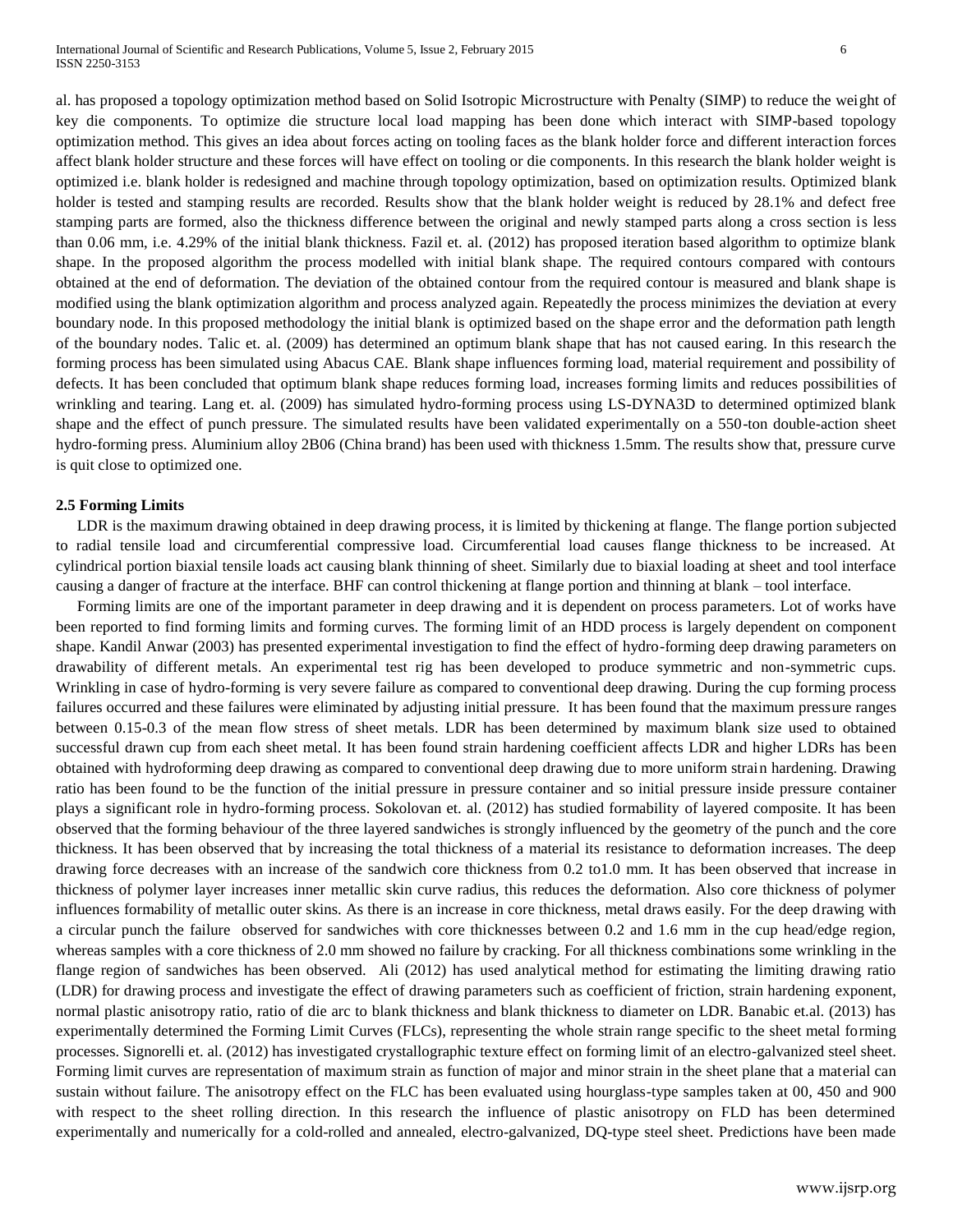al. has proposed a topology optimization method based on Solid Isotropic Microstructure with Penalty (SIMP) to reduce the weight of key die components. To optimize die structure local load mapping has been done which interact with SIMP-based topology optimization method. This gives an idea about forces acting on tooling faces as the blank holder force and different interaction forces affect blank holder structure and these forces will have effect on tooling or die components. In this research the blank holder weight is optimized i.e. blank holder is redesigned and machine through topology optimization, based on optimization results. Optimized blank holder is tested and stamping results are recorded. Results show that the blank holder weight is reduced by 28.1% and defect free stamping parts are formed, also the thickness difference between the original and newly stamped parts along a cross section is less than 0.06 mm, i.e. 4.29% of the initial blank thickness. Fazil et. al. (2012) has proposed iteration based algorithm to optimize blank shape. In the proposed algorithm the process modelled with initial blank shape. The required contours compared with contours obtained at the end of deformation. The deviation of the obtained contour from the required contour is measured and blank shape is modified using the blank optimization algorithm and process analyzed again. Repeatedly the process minimizes the deviation at every boundary node. In this proposed methodology the initial blank is optimized based on the shape error and the deformation path length of the boundary nodes. Talic et. al. (2009) has determined an optimum blank shape that has not caused earing. In this research the forming process has been simulated using Abacus CAE. Blank shape influences forming load, material requirement and possibility of defects. It has been concluded that optimum blank shape reduces forming load, increases forming limits and reduces possibilities of wrinkling and tearing. Lang et. al. (2009) has simulated hydro-forming process using LS-DYNA3D to determined optimized blank shape and the effect of punch pressure. The simulated results have been validated experimentally on a 550-ton double-action sheet hydro-forming press. Aluminium alloy 2B06 (China brand) has been used with thickness 1.5mm. The results show that, pressure curve is quit close to optimized one.

#### **2.5 Forming Limits**

LDR is the maximum drawing obtained in deep drawing process, it is limited by thickening at flange. The flange portion subjected to radial tensile load and circumferential compressive load. Circumferential load causes flange thickness to be increased. At cylindrical portion biaxial tensile loads act causing blank thinning of sheet. Similarly due to biaxial loading at sheet and tool interface causing a danger of fracture at the interface. BHF can control thickening at flange portion and thinning at blank – tool interface.

Forming limits are one of the important parameter in deep drawing and it is dependent on process parameters. Lot of works have been reported to find forming limits and forming curves. The forming limit of an HDD process is largely dependent on component shape. Kandil Anwar (2003) has presented experimental investigation to find the effect of hydro-forming deep drawing parameters on drawability of different metals. An experimental test rig has been developed to produce symmetric and non-symmetric cups. Wrinkling in case of hydro-forming is very severe failure as compared to conventional deep drawing. During the cup forming process failures occurred and these failures were eliminated by adjusting initial pressure. It has been found that the maximum pressure ranges between 0.15-0.3 of the mean flow stress of sheet metals. LDR has been determined by maximum blank size used to obtained successful drawn cup from each sheet metal. It has been found strain hardening coefficient affects LDR and higher LDRs has been obtained with hydroforming deep drawing as compared to conventional deep drawing due to more uniform strain hardening. Drawing ratio has been found to be the function of the initial pressure in pressure container and so initial pressure inside pressure container plays a significant role in hydro-forming process. Sokolovan et. al. (2012) has studied formability of layered composite. It has been observed that the forming behaviour of the three layered sandwiches is strongly influenced by the geometry of the punch and the core thickness. It has been observed that by increasing the total thickness of a material its resistance to deformation increases. The deep drawing force decreases with an increase of the sandwich core thickness from 0.2 to1.0 mm. It has been observed that increase in thickness of polymer layer increases inner metallic skin curve radius, this reduces the deformation. Also core thickness of polymer influences formability of metallic outer skins. As there is an increase in core thickness, metal draws easily. For the deep drawing with a circular punch the failure observed for sandwiches with core thicknesses between 0.2 and 1.6 mm in the cup head/edge region, whereas samples with a core thickness of 2.0 mm showed no failure by cracking. For all thickness combinations some wrinkling in the flange region of sandwiches has been observed. Ali (2012) has used analytical method for estimating the limiting drawing ratio (LDR) for drawing process and investigate the effect of drawing parameters such as coefficient of friction, strain hardening exponent, normal plastic anisotropy ratio, ratio of die arc to blank thickness and blank thickness to diameter on LDR. Banabic et.al. (2013) has experimentally determined the Forming Limit Curves (FLCs), representing the whole strain range specific to the sheet metal forming processes. Signorelli et. al. (2012) has investigated crystallographic texture effect on forming limit of an electro-galvanized steel sheet. Forming limit curves are representation of maximum strain as function of major and minor strain in the sheet plane that a material can sustain without failure. The anisotropy effect on the FLC has been evaluated using hourglass-type samples taken at 00, 450 and 900 with respect to the sheet rolling direction. In this research the influence of plastic anisotropy on FLD has been determined experimentally and numerically for a cold-rolled and annealed, electro-galvanized, DQ-type steel sheet. Predictions have been made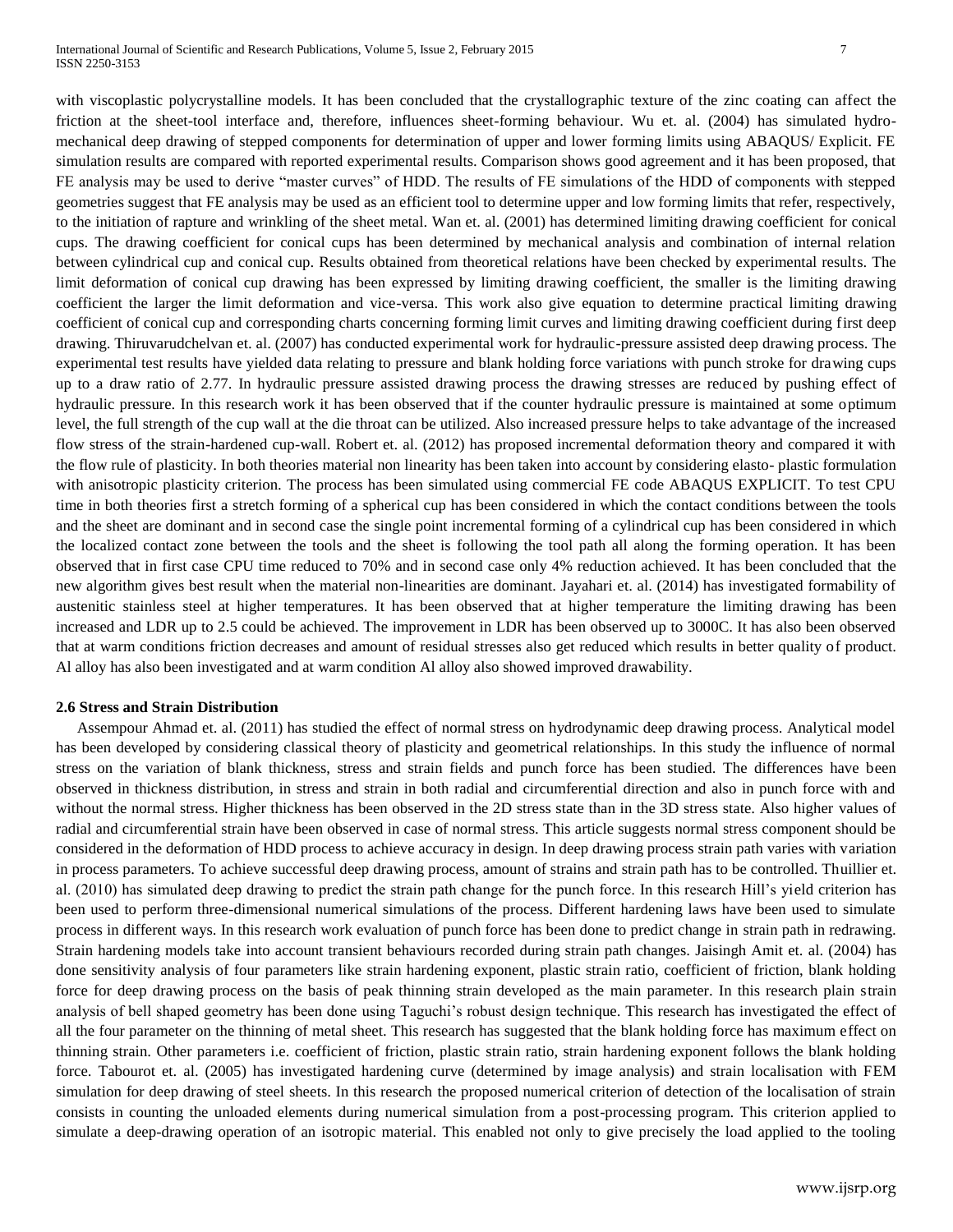with viscoplastic polycrystalline models. It has been concluded that the crystallographic texture of the zinc coating can affect the friction at the sheet-tool interface and, therefore, influences sheet-forming behaviour. Wu et. al. (2004) has simulated hydromechanical deep drawing of stepped components for determination of upper and lower forming limits using ABAQUS/ Explicit. FE simulation results are compared with reported experimental results. Comparison shows good agreement and it has been proposed, that FE analysis may be used to derive "master curves" of HDD. The results of FE simulations of the HDD of components with stepped geometries suggest that FE analysis may be used as an efficient tool to determine upper and low forming limits that refer, respectively, to the initiation of rapture and wrinkling of the sheet metal. Wan et. al. (2001) has determined limiting drawing coefficient for conical cups. The drawing coefficient for conical cups has been determined by mechanical analysis and combination of internal relation between cylindrical cup and conical cup. Results obtained from theoretical relations have been checked by experimental results. The limit deformation of conical cup drawing has been expressed by limiting drawing coefficient, the smaller is the limiting drawing coefficient the larger the limit deformation and vice-versa. This work also give equation to determine practical limiting drawing coefficient of conical cup and corresponding charts concerning forming limit curves and limiting drawing coefficient during first deep drawing. Thiruvarudchelvan et. al. (2007) has conducted experimental work for hydraulic-pressure assisted deep drawing process. The experimental test results have yielded data relating to pressure and blank holding force variations with punch stroke for drawing cups up to a draw ratio of 2.77. In hydraulic pressure assisted drawing process the drawing stresses are reduced by pushing effect of hydraulic pressure. In this research work it has been observed that if the counter hydraulic pressure is maintained at some optimum level, the full strength of the cup wall at the die throat can be utilized. Also increased pressure helps to take advantage of the increased flow stress of the strain-hardened cup-wall. Robert et. al. (2012) has proposed incremental deformation theory and compared it with the flow rule of plasticity. In both theories material non linearity has been taken into account by considering elasto- plastic formulation with anisotropic plasticity criterion. The process has been simulated using commercial FE code ABAQUS EXPLICIT. To test CPU time in both theories first a stretch forming of a spherical cup has been considered in which the contact conditions between the tools and the sheet are dominant and in second case the single point incremental forming of a cylindrical cup has been considered in which the localized contact zone between the tools and the sheet is following the tool path all along the forming operation. It has been observed that in first case CPU time reduced to 70% and in second case only 4% reduction achieved. It has been concluded that the new algorithm gives best result when the material non-linearities are dominant. Jayahari et. al. (2014) has investigated formability of austenitic stainless steel at higher temperatures. It has been observed that at higher temperature the limiting drawing has been increased and LDR up to 2.5 could be achieved. The improvement in LDR has been observed up to 3000C. It has also been observed that at warm conditions friction decreases and amount of residual stresses also get reduced which results in better quality of product. Al alloy has also been investigated and at warm condition Al alloy also showed improved drawability.

#### **2.6 Stress and Strain Distribution**

Assempour Ahmad et. al. (2011) has studied the effect of normal stress on hydrodynamic deep drawing process. Analytical model has been developed by considering classical theory of plasticity and geometrical relationships. In this study the influence of normal stress on the variation of blank thickness, stress and strain fields and punch force has been studied. The differences have been observed in thickness distribution, in stress and strain in both radial and circumferential direction and also in punch force with and without the normal stress. Higher thickness has been observed in the 2D stress state than in the 3D stress state. Also higher values of radial and circumferential strain have been observed in case of normal stress. This article suggests normal stress component should be considered in the deformation of HDD process to achieve accuracy in design. In deep drawing process strain path varies with variation in process parameters. To achieve successful deep drawing process, amount of strains and strain path has to be controlled. Thuillier et. al. (2010) has simulated deep drawing to predict the strain path change for the punch force. In this research Hill's yield criterion has been used to perform three-dimensional numerical simulations of the process. Different hardening laws have been used to simulate process in different ways. In this research work evaluation of punch force has been done to predict change in strain path in redrawing. Strain hardening models take into account transient behaviours recorded during strain path changes. Jaisingh Amit et. al. (2004) has done sensitivity analysis of four parameters like strain hardening exponent, plastic strain ratio, coefficient of friction, blank holding force for deep drawing process on the basis of peak thinning strain developed as the main parameter. In this research plain strain analysis of bell shaped geometry has been done using Taguchi's robust design technique. This research has investigated the effect of all the four parameter on the thinning of metal sheet. This research has suggested that the blank holding force has maximum effect on thinning strain. Other parameters i.e. coefficient of friction, plastic strain ratio, strain hardening exponent follows the blank holding force. Tabourot et. al. (2005) has investigated hardening curve (determined by image analysis) and strain localisation with FEM simulation for deep drawing of steel sheets. In this research the proposed numerical criterion of detection of the localisation of strain consists in counting the unloaded elements during numerical simulation from a post-processing program. This criterion applied to simulate a deep-drawing operation of an isotropic material. This enabled not only to give precisely the load applied to the tooling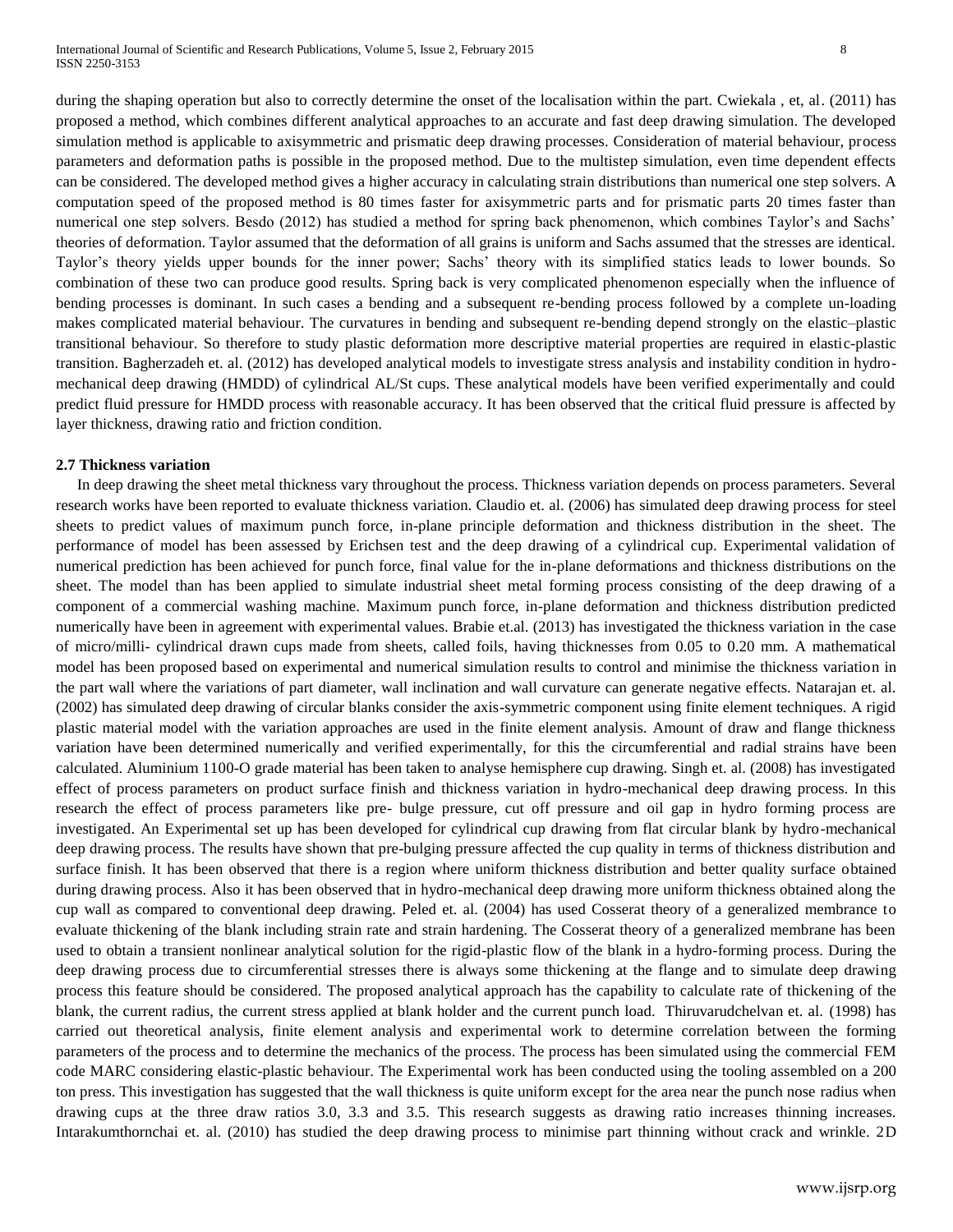during the shaping operation but also to correctly determine the onset of the localisation within the part. Cwiekala, et, al. (2011) has proposed a method, which combines different analytical approaches to an accurate and fast deep drawing simulation. The developed simulation method is applicable to axisymmetric and prismatic deep drawing processes. Consideration of material behaviour, process parameters and deformation paths is possible in the proposed method. Due to the multistep simulation, even time dependent effects can be considered. The developed method gives a higher accuracy in calculating strain distributions than numerical one step solvers. A computation speed of the proposed method is 80 times faster for axisymmetric parts and for prismatic parts 20 times faster than numerical one step solvers. Besdo (2012) has studied a method for spring back phenomenon, which combines Taylor's and Sachs' theories of deformation. Taylor assumed that the deformation of all grains is uniform and Sachs assumed that the stresses are identical. Taylor's theory yields upper bounds for the inner power; Sachs' theory with its simplified statics leads to lower bounds. So combination of these two can produce good results. Spring back is very complicated phenomenon especially when the influence of bending processes is dominant. In such cases a bending and a subsequent re-bending process followed by a complete un-loading makes complicated material behaviour. The curvatures in bending and subsequent re-bending depend strongly on the elastic–plastic transitional behaviour. So therefore to study plastic deformation more descriptive material properties are required in elastic-plastic transition. Bagherzadeh et. al. (2012) has developed analytical models to investigate stress analysis and instability condition in hydromechanical deep drawing (HMDD) of cylindrical AL/St cups. These analytical models have been verified experimentally and could predict fluid pressure for HMDD process with reasonable accuracy. It has been observed that the critical fluid pressure is affected by layer thickness, drawing ratio and friction condition.

## **2.7 Thickness variation**

In deep drawing the sheet metal thickness vary throughout the process. Thickness variation depends on process parameters. Several research works have been reported to evaluate thickness variation. Claudio et. al. (2006) has simulated deep drawing process for steel sheets to predict values of maximum punch force, in-plane principle deformation and thickness distribution in the sheet. The performance of model has been assessed by Erichsen test and the deep drawing of a cylindrical cup. Experimental validation of numerical prediction has been achieved for punch force, final value for the in-plane deformations and thickness distributions on the sheet. The model than has been applied to simulate industrial sheet metal forming process consisting of the deep drawing of a component of a commercial washing machine. Maximum punch force, in-plane deformation and thickness distribution predicted numerically have been in agreement with experimental values. Brabie et.al. (2013) has investigated the thickness variation in the case of micro/milli- cylindrical drawn cups made from sheets, called foils, having thicknesses from 0.05 to 0.20 mm. A mathematical model has been proposed based on experimental and numerical simulation results to control and minimise the thickness variation in the part wall where the variations of part diameter, wall inclination and wall curvature can generate negative effects. Natarajan et. al. (2002) has simulated deep drawing of circular blanks consider the axis-symmetric component using finite element techniques. A rigid plastic material model with the variation approaches are used in the finite element analysis. Amount of draw and flange thickness variation have been determined numerically and verified experimentally, for this the circumferential and radial strains have been calculated. Aluminium 1100-O grade material has been taken to analyse hemisphere cup drawing. Singh et. al. (2008) has investigated effect of process parameters on product surface finish and thickness variation in hydro-mechanical deep drawing process. In this research the effect of process parameters like pre- bulge pressure, cut off pressure and oil gap in hydro forming process are investigated. An Experimental set up has been developed for cylindrical cup drawing from flat circular blank by hydro-mechanical deep drawing process. The results have shown that pre-bulging pressure affected the cup quality in terms of thickness distribution and surface finish. It has been observed that there is a region where uniform thickness distribution and better quality surface obtained during drawing process. Also it has been observed that in hydro-mechanical deep drawing more uniform thickness obtained along the cup wall as compared to conventional deep drawing. Peled et. al. (2004) has used Cosserat theory of a generalized membrance to evaluate thickening of the blank including strain rate and strain hardening. The Cosserat theory of a generalized membrane has been used to obtain a transient nonlinear analytical solution for the rigid-plastic flow of the blank in a hydro-forming process. During the deep drawing process due to circumferential stresses there is always some thickening at the flange and to simulate deep drawing process this feature should be considered. The proposed analytical approach has the capability to calculate rate of thickening of the blank, the current radius, the current stress applied at blank holder and the current punch load. Thiruvarudchelvan et. al. (1998) has carried out theoretical analysis, finite element analysis and experimental work to determine correlation between the forming parameters of the process and to determine the mechanics of the process. The process has been simulated using the commercial FEM code MARC considering elastic-plastic behaviour. The Experimental work has been conducted using the tooling assembled on a 200 ton press. This investigation has suggested that the wall thickness is quite uniform except for the area near the punch nose radius when drawing cups at the three draw ratios 3.0, 3.3 and 3.5. This research suggests as drawing ratio increases thinning increases. Intarakumthornchai et. al. (2010) has studied the deep drawing process to minimise part thinning without crack and wrinkle. 2D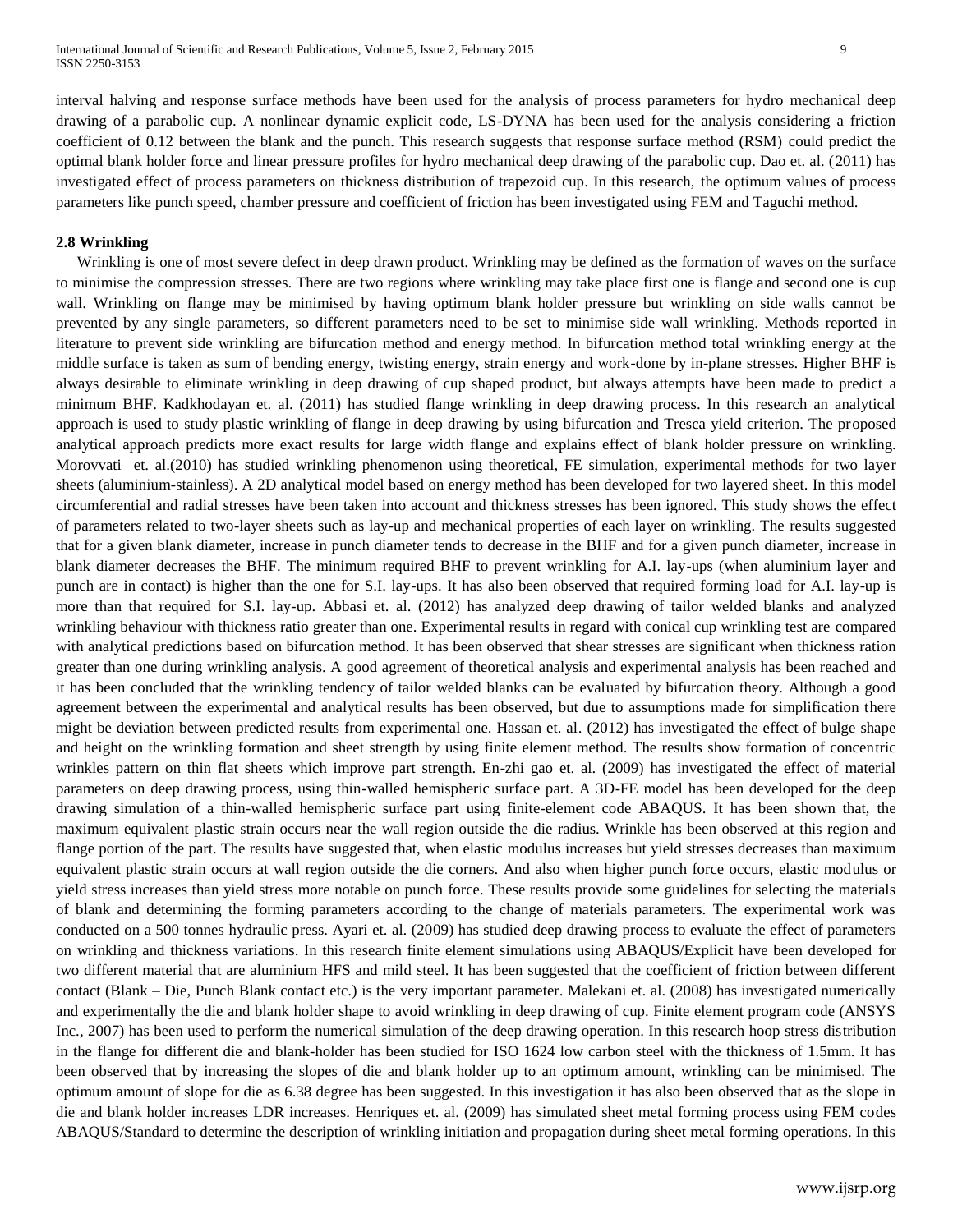interval halving and response surface methods have been used for the analysis of process parameters for hydro mechanical deep drawing of a parabolic cup. A nonlinear dynamic explicit code, LS-DYNA has been used for the analysis considering a friction coefficient of 0.12 between the blank and the punch. This research suggests that response surface method (RSM) could predict the optimal blank holder force and linear pressure profiles for hydro mechanical deep drawing of the parabolic cup. Dao et. al. (2011) has investigated effect of process parameters on thickness distribution of trapezoid cup. In this research, the optimum values of process parameters like punch speed, chamber pressure and coefficient of friction has been investigated using FEM and Taguchi method.

## **2.8 Wrinkling**

Wrinkling is one of most severe defect in deep drawn product. Wrinkling may be defined as the formation of waves on the surface to minimise the compression stresses. There are two regions where wrinkling may take place first one is flange and second one is cup wall. Wrinkling on flange may be minimised by having optimum blank holder pressure but wrinkling on side walls cannot be prevented by any single parameters, so different parameters need to be set to minimise side wall wrinkling. Methods reported in literature to prevent side wrinkling are bifurcation method and energy method. In bifurcation method total wrinkling energy at the middle surface is taken as sum of bending energy, twisting energy, strain energy and work-done by in-plane stresses. Higher BHF is always desirable to eliminate wrinkling in deep drawing of cup shaped product, but always attempts have been made to predict a minimum BHF. Kadkhodayan et. al. (2011) has studied flange wrinkling in deep drawing process. In this research an analytical approach is used to study plastic wrinkling of flange in deep drawing by using bifurcation and Tresca yield criterion. The proposed analytical approach predicts more exact results for large width flange and explains effect of blank holder pressure on wrinkling. Morovvati et. al.(2010) has studied wrinkling phenomenon using theoretical, FE simulation, experimental methods for two layer sheets (aluminium-stainless). A 2D analytical model based on energy method has been developed for two layered sheet. In this model circumferential and radial stresses have been taken into account and thickness stresses has been ignored. This study shows the effect of parameters related to two-layer sheets such as lay-up and mechanical properties of each layer on wrinkling. The results suggested that for a given blank diameter, increase in punch diameter tends to decrease in the BHF and for a given punch diameter, increase in blank diameter decreases the BHF. The minimum required BHF to prevent wrinkling for A.I. lay-ups (when aluminium layer and punch are in contact) is higher than the one for S.I. lay-ups. It has also been observed that required forming load for A.I. lay-up is more than that required for S.I. lay-up. Abbasi et. al. (2012) has analyzed deep drawing of tailor welded blanks and analyzed wrinkling behaviour with thickness ratio greater than one. Experimental results in regard with conical cup wrinkling test are compared with analytical predictions based on bifurcation method. It has been observed that shear stresses are significant when thickness ration greater than one during wrinkling analysis. A good agreement of theoretical analysis and experimental analysis has been reached and it has been concluded that the wrinkling tendency of tailor welded blanks can be evaluated by bifurcation theory. Although a good agreement between the experimental and analytical results has been observed, but due to assumptions made for simplification there might be deviation between predicted results from experimental one. Hassan et. al. (2012) has investigated the effect of bulge shape and height on the wrinkling formation and sheet strength by using finite element method. The results show formation of concentric wrinkles pattern on thin flat sheets which improve part strength. En-zhi gao et. al. (2009) has investigated the effect of material parameters on deep drawing process, using thin-walled hemispheric surface part. A 3D-FE model has been developed for the deep drawing simulation of a thin-walled hemispheric surface part using finite-element code ABAQUS. It has been shown that, the maximum equivalent plastic strain occurs near the wall region outside the die radius. Wrinkle has been observed at this region and flange portion of the part. The results have suggested that, when elastic modulus increases but yield stresses decreases than maximum equivalent plastic strain occurs at wall region outside the die corners. And also when higher punch force occurs, elastic modulus or yield stress increases than yield stress more notable on punch force. These results provide some guidelines for selecting the materials of blank and determining the forming parameters according to the change of materials parameters. The experimental work was conducted on a 500 tonnes hydraulic press. Ayari et. al. (2009) has studied deep drawing process to evaluate the effect of parameters on wrinkling and thickness variations. In this research finite element simulations using ABAQUS/Explicit have been developed for two different material that are aluminium HFS and mild steel. It has been suggested that the coefficient of friction between different contact (Blank – Die, Punch Blank contact etc.) is the very important parameter. Malekani et. al. (2008) has investigated numerically and experimentally the die and blank holder shape to avoid wrinkling in deep drawing of cup. Finite element program code (ANSYS Inc., 2007) has been used to perform the numerical simulation of the deep drawing operation. In this research hoop stress distribution in the flange for different die and blank-holder has been studied for ISO 1624 low carbon steel with the thickness of 1.5mm. It has been observed that by increasing the slopes of die and blank holder up to an optimum amount, wrinkling can be minimised. The optimum amount of slope for die as 6.38 degree has been suggested. In this investigation it has also been observed that as the slope in die and blank holder increases LDR increases. Henriques et. al. (2009) has simulated sheet metal forming process using FEM codes ABAQUS/Standard to determine the description of wrinkling initiation and propagation during sheet metal forming operations. In this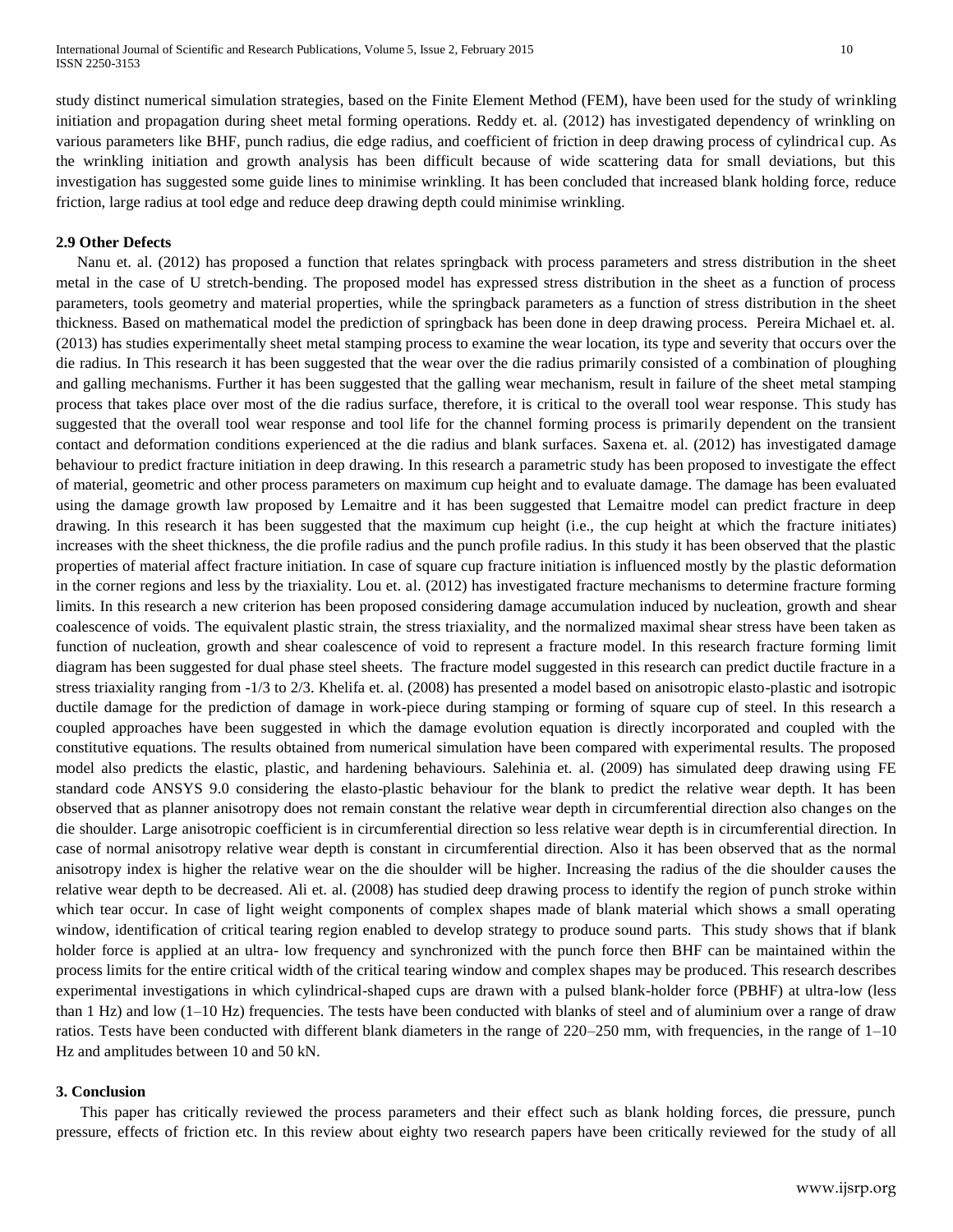study distinct numerical simulation strategies, based on the Finite Element Method (FEM), have been used for the study of wrinkling initiation and propagation during sheet metal forming operations. Reddy et. al. (2012) has investigated dependency of wrinkling on various parameters like BHF, punch radius, die edge radius, and coefficient of friction in deep drawing process of cylindrical cup. As the wrinkling initiation and growth analysis has been difficult because of wide scattering data for small deviations, but this investigation has suggested some guide lines to minimise wrinkling. It has been concluded that increased blank holding force, reduce friction, large radius at tool edge and reduce deep drawing depth could minimise wrinkling.

## **2.9 Other Defects**

Nanu et. al. (2012) has proposed a function that relates springback with process parameters and stress distribution in the sheet metal in the case of U stretch-bending. The proposed model has expressed stress distribution in the sheet as a function of process parameters, tools geometry and material properties, while the springback parameters as a function of stress distribution in the sheet thickness. Based on mathematical model the prediction of springback has been done in deep drawing process. Pereira Michael et. al. (2013) has studies experimentally sheet metal stamping process to examine the wear location, its type and severity that occurs over the die radius. In This research it has been suggested that the wear over the die radius primarily consisted of a combination of ploughing and galling mechanisms. Further it has been suggested that the galling wear mechanism, result in failure of the sheet metal stamping process that takes place over most of the die radius surface, therefore, it is critical to the overall tool wear response. This study has suggested that the overall tool wear response and tool life for the channel forming process is primarily dependent on the transient contact and deformation conditions experienced at the die radius and blank surfaces. Saxena et. al. (2012) has investigated damage behaviour to predict fracture initiation in deep drawing. In this research a parametric study has been proposed to investigate the effect of material, geometric and other process parameters on maximum cup height and to evaluate damage. The damage has been evaluated using the damage growth law proposed by Lemaitre and it has been suggested that Lemaitre model can predict fracture in deep drawing. In this research it has been suggested that the maximum cup height (i.e., the cup height at which the fracture initiates) increases with the sheet thickness, the die profile radius and the punch profile radius. In this study it has been observed that the plastic properties of material affect fracture initiation. In case of square cup fracture initiation is influenced mostly by the plastic deformation in the corner regions and less by the triaxiality. Lou et. al. (2012) has investigated fracture mechanisms to determine fracture forming limits. In this research a new criterion has been proposed considering damage accumulation induced by nucleation, growth and shear coalescence of voids. The equivalent plastic strain, the stress triaxiality, and the normalized maximal shear stress have been taken as function of nucleation, growth and shear coalescence of void to represent a fracture model. In this research fracture forming limit diagram has been suggested for dual phase steel sheets. The fracture model suggested in this research can predict ductile fracture in a stress triaxiality ranging from -1/3 to 2/3. Khelifa et. al. (2008) has presented a model based on anisotropic elasto-plastic and isotropic ductile damage for the prediction of damage in work-piece during stamping or forming of square cup of steel. In this research a coupled approaches have been suggested in which the damage evolution equation is directly incorporated and coupled with the constitutive equations. The results obtained from numerical simulation have been compared with experimental results. The proposed model also predicts the elastic, plastic, and hardening behaviours. Salehinia et. al. (2009) has simulated deep drawing using FE standard code ANSYS 9.0 considering the elasto-plastic behaviour for the blank to predict the relative wear depth. It has been observed that as planner anisotropy does not remain constant the relative wear depth in circumferential direction also changes on the die shoulder. Large anisotropic coefficient is in circumferential direction so less relative wear depth is in circumferential direction. In case of normal anisotropy relative wear depth is constant in circumferential direction. Also it has been observed that as the normal anisotropy index is higher the relative wear on the die shoulder will be higher. Increasing the radius of the die shoulder causes the relative wear depth to be decreased. Ali et. al. (2008) has studied deep drawing process to identify the region of punch stroke within which tear occur. In case of light weight components of complex shapes made of blank material which shows a small operating window, identification of critical tearing region enabled to develop strategy to produce sound parts. This study shows that if blank holder force is applied at an ultra- low frequency and synchronized with the punch force then BHF can be maintained within the process limits for the entire critical width of the critical tearing window and complex shapes may be produced. This research describes experimental investigations in which cylindrical-shaped cups are drawn with a pulsed blank-holder force (PBHF) at ultra-low (less than 1 Hz) and low (1–10 Hz) frequencies. The tests have been conducted with blanks of steel and of aluminium over a range of draw ratios. Tests have been conducted with different blank diameters in the range of 220–250 mm, with frequencies, in the range of 1–10 Hz and amplitudes between 10 and 50 kN.

#### **3. Conclusion**

This paper has critically reviewed the process parameters and their effect such as blank holding forces, die pressure, punch pressure, effects of friction etc. In this review about eighty two research papers have been critically reviewed for the study of all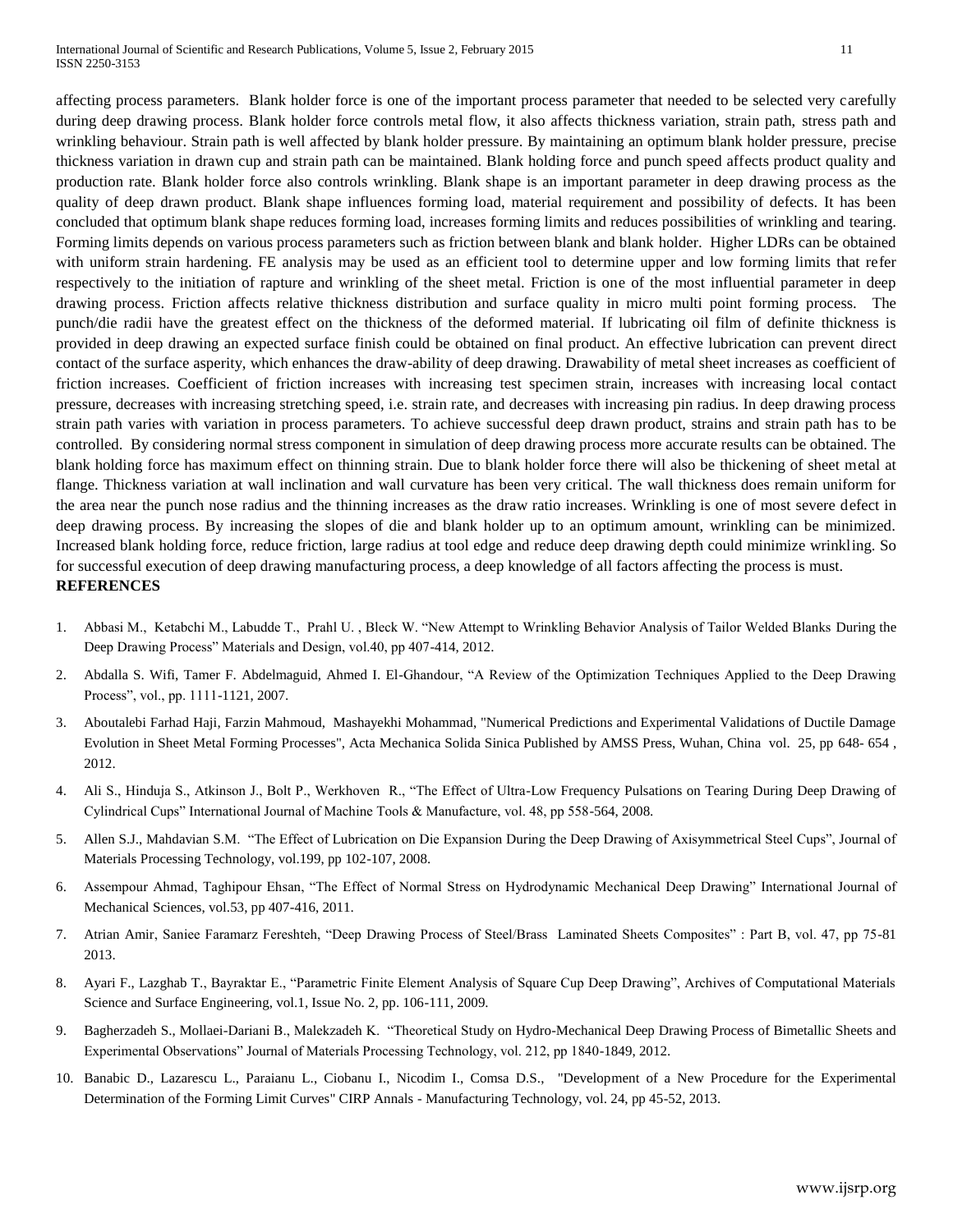affecting process parameters. Blank holder force is one of the important process parameter that needed to be selected very carefully during deep drawing process. Blank holder force controls metal flow, it also affects thickness variation, strain path, stress path and wrinkling behaviour. Strain path is well affected by blank holder pressure. By maintaining an optimum blank holder pressure, precise thickness variation in drawn cup and strain path can be maintained. Blank holding force and punch speed affects product quality and production rate. Blank holder force also controls wrinkling. Blank shape is an important parameter in deep drawing process as the quality of deep drawn product. Blank shape influences forming load, material requirement and possibility of defects. It has been concluded that optimum blank shape reduces forming load, increases forming limits and reduces possibilities of wrinkling and tearing. Forming limits depends on various process parameters such as friction between blank and blank holder. Higher LDRs can be obtained with uniform strain hardening. FE analysis may be used as an efficient tool to determine upper and low forming limits that refer respectively to the initiation of rapture and wrinkling of the sheet metal. Friction is one of the most influential parameter in deep drawing process. Friction affects relative thickness distribution and surface quality in micro multi point forming process. The punch/die radii have the greatest effect on the thickness of the deformed material. If lubricating oil film of definite thickness is provided in deep drawing an expected surface finish could be obtained on final product. An effective lubrication can prevent direct contact of the surface asperity, which enhances the draw-ability of deep drawing. Drawability of metal sheet increases as coefficient of friction increases. Coefficient of friction increases with increasing test specimen strain, increases with increasing local contact pressure, decreases with increasing stretching speed, i.e. strain rate, and decreases with increasing pin radius. In deep drawing process strain path varies with variation in process parameters. To achieve successful deep drawn product, strains and strain path has to be controlled. By considering normal stress component in simulation of deep drawing process more accurate results can be obtained. The blank holding force has maximum effect on thinning strain. Due to blank holder force there will also be thickening of sheet metal at flange. Thickness variation at wall inclination and wall curvature has been very critical. The wall thickness does remain uniform for the area near the punch nose radius and the thinning increases as the draw ratio increases. Wrinkling is one of most severe defect in deep drawing process. By increasing the slopes of die and blank holder up to an optimum amount, wrinkling can be minimized. Increased blank holding force, reduce friction, large radius at tool edge and reduce deep drawing depth could minimize wrinkling. So for successful execution of deep drawing manufacturing process, a deep knowledge of all factors affecting the process is must. **REFERENCES**

- 1. Abbasi M., Ketabchi M., Labudde T., Prahl U. , Bleck W. "New Attempt to Wrinkling Behavior Analysis of Tailor Welded Blanks During the Deep Drawing Process" Materials and Design, vol.40, pp 407-414, 2012.
- 2. Abdalla S. Wifi, Tamer F. Abdelmaguid, Ahmed I. El-Ghandour, "A Review of the Optimization Techniques Applied to the Deep Drawing Process", vol., pp. 1111-1121, 2007.
- 3. Aboutalebi Farhad Haji, Farzin Mahmoud, Mashayekhi Mohammad, "Numerical Predictions and Experimental Validations of Ductile Damage Evolution in Sheet Metal Forming Processes", Acta Mechanica Solida Sinica Published by AMSS Press, Wuhan, China vol. 25, pp 648- 654 , 2012.
- 4. Ali S., Hinduja S., Atkinson J., Bolt P., Werkhoven R., "The Effect of Ultra-Low Frequency Pulsations on Tearing During Deep Drawing of Cylindrical Cups" International Journal of Machine Tools & Manufacture, vol. 48, pp 558-564, 2008.
- 5. Allen S.J., Mahdavian S.M. "The Effect of Lubrication on Die Expansion During the Deep Drawing of Axisymmetrical Steel Cups", Journal of Materials Processing Technology, vol.199, pp 102-107, 2008.
- 6. Assempour Ahmad, Taghipour Ehsan, "The Effect of Normal Stress on Hydrodynamic Mechanical Deep Drawing" International Journal of Mechanical Sciences, vol.53, pp 407-416, 2011.
- 7. Atrian Amir, Saniee Faramarz Fereshteh, "Deep Drawing Process of Steel/Brass Laminated Sheets Composites" : Part B, vol. 47, pp 75-81 2013.
- 8. Ayari F., Lazghab T., Bayraktar E., "Parametric Finite Element Analysis of Square Cup Deep Drawing", Archives of Computational Materials Science and Surface Engineering, vol.1, Issue No. 2, pp. 106-111, 2009.
- 9. Bagherzadeh S., Mollaei-Dariani B., Malekzadeh K. "Theoretical Study on Hydro-Mechanical Deep Drawing Process of Bimetallic Sheets and Experimental Observations" Journal of Materials Processing Technology, vol. 212, pp 1840-1849, 2012.
- 10. Banabic D., Lazarescu L., Paraianu L., Ciobanu I., Nicodim I., Comsa D.S., "Development of a New Procedure for the Experimental Determination of the Forming Limit Curves" CIRP Annals - Manufacturing Technology, vol. 24, pp 45-52, 2013.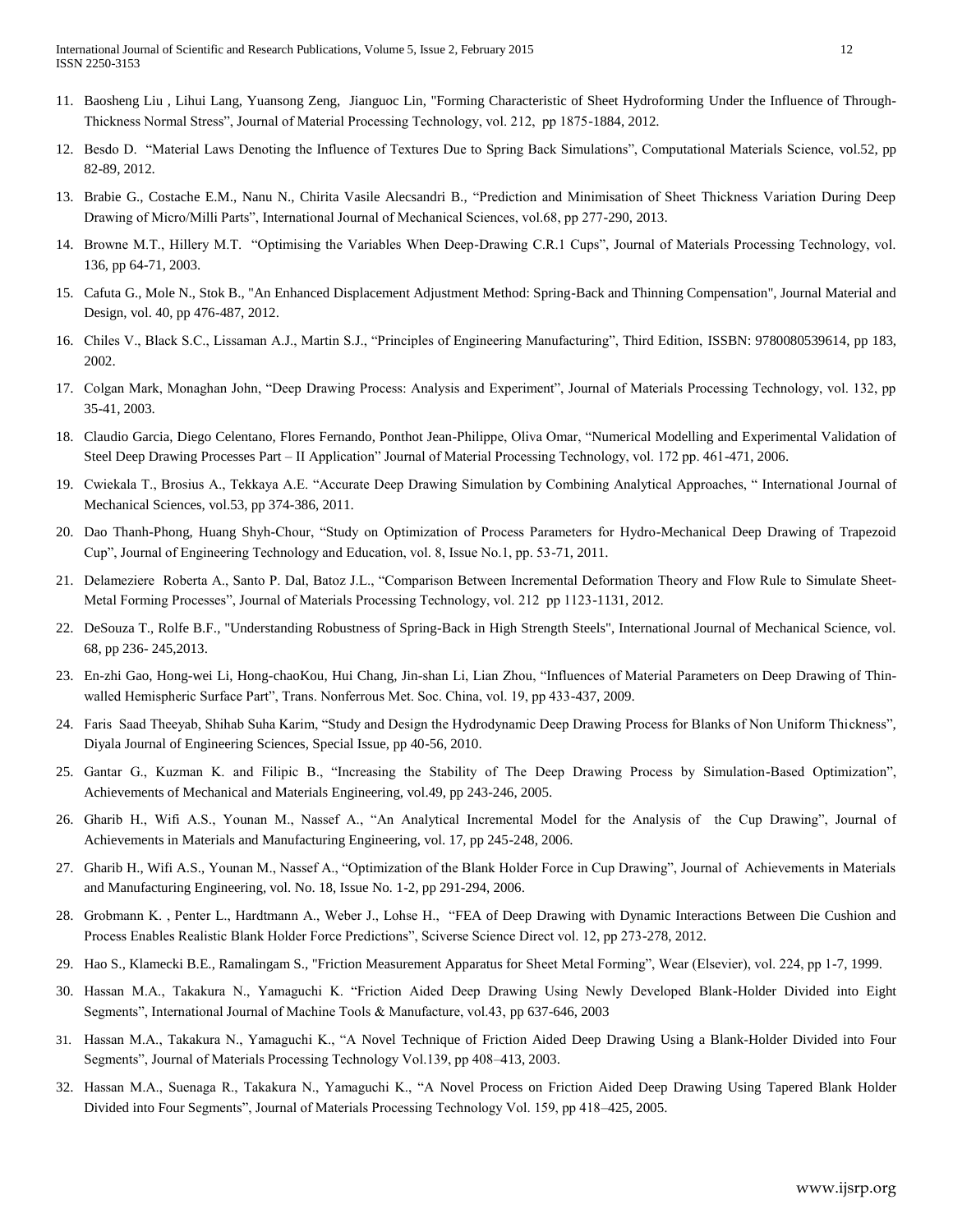- 11. Baosheng Liu , Lihui Lang, Yuansong Zeng, Jianguoc Lin, "Forming Characteristic of Sheet Hydroforming Under the Influence of Through-Thickness Normal Stress", Journal of Material Processing Technology, vol. 212, pp 1875-1884, 2012.
- 12. Besdo D. "Material Laws Denoting the Influence of Textures Due to Spring Back Simulations", Computational Materials Science, vol.52, pp 82-89, 2012.
- 13. Brabie G., Costache E.M., Nanu N., Chirita Vasile Alecsandri B., "Prediction and Minimisation of Sheet Thickness Variation During Deep Drawing of Micro/Milli Parts", International Journal of Mechanical Sciences, vol.68, pp 277-290, 2013.
- 14. Browne M.T., Hillery M.T. "Optimising the Variables When Deep-Drawing C.R.1 Cups", Journal of Materials Processing Technology, vol. 136, pp 64-71, 2003.
- 15. Cafuta G., Mole N., Stok B., "An Enhanced Displacement Adjustment Method: Spring-Back and Thinning Compensation", Journal Material and Design, vol. 40, pp 476-487, 2012.
- 16. Chiles V., Black S.C., Lissaman A.J., Martin S.J., "Principles of Engineering Manufacturing", Third Edition, ISSBN: 9780080539614, pp 183, 2002.
- 17. Colgan Mark, Monaghan John, "Deep Drawing Process: Analysis and Experiment", Journal of Materials Processing Technology, vol. 132, pp 35-41, 2003.
- 18. Claudio Garcia, Diego Celentano, Flores Fernando, Ponthot Jean-Philippe, Oliva Omar, "Numerical Modelling and Experimental Validation of Steel Deep Drawing Processes Part – II Application" Journal of Material Processing Technology, vol. 172 pp. 461-471, 2006.
- 19. Cwiekala T., Brosius A., Tekkaya A.E. "Accurate Deep Drawing Simulation by Combining Analytical Approaches, " International Journal of Mechanical Sciences, vol.53, pp 374-386, 2011.
- 20. Dao Thanh-Phong, Huang Shyh-Chour, "Study on Optimization of Process Parameters for Hydro-Mechanical Deep Drawing of Trapezoid Cup", Journal of Engineering Technology and Education, vol. 8, Issue No.1, pp. 53-71, 2011.
- 21. Delameziere Roberta A., Santo P. Dal, Batoz J.L., "Comparison Between Incremental Deformation Theory and Flow Rule to Simulate Sheet-Metal Forming Processes", Journal of Materials Processing Technology, vol. 212 pp 1123-1131, 2012.
- 22. DeSouza T., Rolfe B.F., "Understanding Robustness of Spring-Back in High Strength Steels", International Journal of Mechanical Science, vol. 68, pp 236- 245,2013.
- 23. En-zhi Gao, Hong-wei Li, Hong-chaoKou, Hui Chang, Jin-shan Li, Lian Zhou, "Influences of Material Parameters on Deep Drawing of Thinwalled Hemispheric Surface Part", Trans. Nonferrous Met. Soc. China, vol. 19, pp 433-437, 2009.
- 24. Faris Saad Theeyab, Shihab Suha Karim, "Study and Design the Hydrodynamic Deep Drawing Process for Blanks of Non Uniform Thickness", Diyala Journal of Engineering Sciences, Special Issue, pp 40-56, 2010.
- 25. Gantar G., Kuzman K. and Filipic B., "Increasing the Stability of The Deep Drawing Process by Simulation-Based Optimization", Achievements of Mechanical and Materials Engineering, vol.49, pp 243-246, 2005.
- 26. Gharib H., Wifi A.S., Younan M., Nassef A., "An Analytical Incremental Model for the Analysis of the Cup Drawing", Journal of Achievements in Materials and Manufacturing Engineering, vol. 17, pp 245-248, 2006.
- 27. Gharib H., Wifi A.S., Younan M., Nassef A., "Optimization of the Blank Holder Force in Cup Drawing", Journal of Achievements in Materials and Manufacturing Engineering, vol. No. 18, Issue No. 1-2, pp 291-294, 2006.
- 28. Grobmann K. , Penter L., Hardtmann A., Weber J., Lohse H., "FEA of Deep Drawing with Dynamic Interactions Between Die Cushion and Process Enables Realistic Blank Holder Force Predictions", Sciverse Science Direct vol. 12, pp 273-278, 2012.
- 29. Hao S., Klamecki B.E., Ramalingam S., "Friction Measurement Apparatus for Sheet Metal Forming", Wear (Elsevier), vol. 224, pp 1-7, 1999.
- 30. Hassan M.A., Takakura N., Yamaguchi K. "Friction Aided Deep Drawing Using Newly Developed Blank-Holder Divided into Eight Segments", International Journal of Machine Tools & Manufacture, vol.43, pp 637-646, 2003
- 31. Hassan M.A., Takakura N., Yamaguchi K., "A Novel Technique of Friction Aided Deep Drawing Using a Blank-Holder Divided into Four Segments", Journal of Materials Processing Technology Vol.139, pp 408–413, 2003.
- 32. Hassan M.A., Suenaga R., Takakura N., Yamaguchi K., "A Novel Process on Friction Aided Deep Drawing Using Tapered Blank Holder Divided into Four Segments", Journal of Materials Processing Technology Vol. 159, pp 418–425, 2005.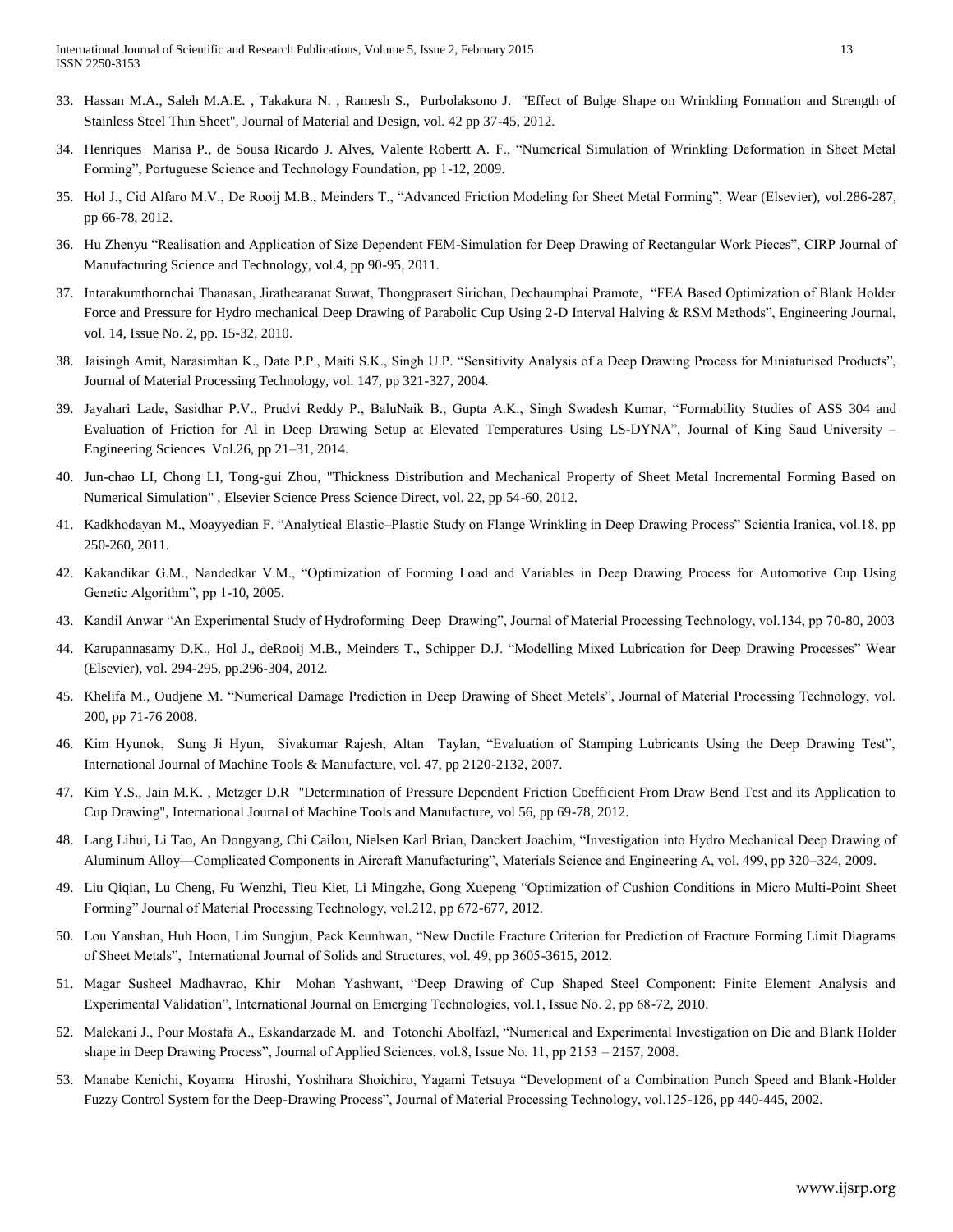- 33. Hassan M.A., Saleh M.A.E. , Takakura N. , Ramesh S., Purbolaksono J. "Effect of Bulge Shape on Wrinkling Formation and Strength of Stainless Steel Thin Sheet", Journal of Material and Design, vol. 42 pp 37-45, 2012.
- 34. Henriques Marisa P., de Sousa Ricardo J. Alves, Valente Robertt A. F., "Numerical Simulation of Wrinkling Deformation in Sheet Metal Forming", Portuguese Science and Technology Foundation, pp 1-12, 2009.
- 35. Hol J., Cid Alfaro M.V., De Rooij M.B., Meinders T., "Advanced Friction Modeling for Sheet Metal Forming", Wear (Elsevier), vol.286-287, pp 66-78, 2012.
- 36. Hu Zhenyu "Realisation and Application of Size Dependent FEM-Simulation for Deep Drawing of Rectangular Work Pieces", CIRP Journal of Manufacturing Science and Technology, vol.4, pp 90-95, 2011.
- 37. Intarakumthornchai Thanasan, Jirathearanat Suwat, Thongprasert Sirichan, Dechaumphai Pramote, "FEA Based Optimization of Blank Holder Force and Pressure for Hydro mechanical Deep Drawing of Parabolic Cup Using 2-D Interval Halving & RSM Methods", Engineering Journal, vol. 14, Issue No. 2, pp. 15-32, 2010.
- 38. Jaisingh Amit, Narasimhan K., Date P.P., Maiti S.K., Singh U.P. "Sensitivity Analysis of a Deep Drawing Process for Miniaturised Products", Journal of Material Processing Technology, vol. 147, pp 321-327, 2004.
- 39. Jayahari Lade, Sasidhar P.V., Prudvi Reddy P., BaluNaik B., Gupta A.K., Singh Swadesh Kumar, "Formability Studies of ASS 304 and Evaluation of Friction for Al in Deep Drawing Setup at Elevated Temperatures Using LS-DYNA", Journal of King Saud University – Engineering Sciences Vol.26, pp 21–31, 2014.
- 40. Jun-chao LI, Chong LI, Tong-gui Zhou, "Thickness Distribution and Mechanical Property of Sheet Metal Incremental Forming Based on Numerical Simulation" , Elsevier Science Press Science Direct, vol. 22, pp 54-60, 2012.
- 41. Kadkhodayan M., Moayyedian F. "Analytical Elastic–Plastic Study on Flange Wrinkling in Deep Drawing Process" Scientia Iranica, vol.18, pp 250-260, 2011.
- 42. Kakandikar G.M., Nandedkar V.M., "Optimization of Forming Load and Variables in Deep Drawing Process for Automotive Cup Using Genetic Algorithm", pp 1-10, 2005.
- 43. Kandil Anwar "An Experimental Study of Hydroforming Deep Drawing", Journal of Material Processing Technology, vol.134, pp 70-80, 2003
- 44. Karupannasamy D.K., Hol J., deRooij M.B., Meinders T., Schipper D.J. "Modelling Mixed Lubrication for Deep Drawing Processes" Wear (Elsevier), vol. 294-295, pp.296-304, 2012.
- 45. Khelifa M., Oudjene M. "Numerical Damage Prediction in Deep Drawing of Sheet Metels", Journal of Material Processing Technology, vol. 200, pp 71-76 2008.
- 46. Kim Hyunok, Sung Ji Hyun, Sivakumar Rajesh, Altan Taylan, "Evaluation of Stamping Lubricants Using the Deep Drawing Test", International Journal of Machine Tools & Manufacture, vol. 47, pp 2120-2132, 2007.
- 47. Kim Y.S., Jain M.K. , Metzger D.R "Determination of Pressure Dependent Friction Coefficient From Draw Bend Test and its Application to Cup Drawing", International Journal of Machine Tools and Manufacture, vol 56, pp 69-78, 2012.
- 48. Lang Lihui, Li Tao, An Dongyang, Chi Cailou, Nielsen Karl Brian, Danckert Joachim, "Investigation into Hydro Mechanical Deep Drawing of Aluminum Alloy—Complicated Components in Aircraft Manufacturing", Materials Science and Engineering A, vol. 499, pp 320–324, 2009.
- 49. Liu Qiqian, Lu Cheng, Fu Wenzhi, Tieu Kiet, Li Mingzhe, Gong Xuepeng "Optimization of Cushion Conditions in Micro Multi-Point Sheet Forming" Journal of Material Processing Technology, vol.212, pp 672-677, 2012.
- 50. Lou Yanshan, Huh Hoon, Lim Sungjun, Pack Keunhwan, "New Ductile Fracture Criterion for Prediction of Fracture Forming Limit Diagrams of Sheet Metals", International Journal of Solids and Structures, vol. 49, pp 3605-3615, 2012.
- 51. Magar Susheel Madhavrao, Khir Mohan Yashwant, "Deep Drawing of Cup Shaped Steel Component: Finite Element Analysis and Experimental Validation", International Journal on Emerging Technologies, vol.1, Issue No. 2, pp 68-72, 2010.
- 52. Malekani J., Pour Mostafa A., Eskandarzade M. and Totonchi Abolfazl, "Numerical and Experimental Investigation on Die and Blank Holder shape in Deep Drawing Process", Journal of Applied Sciences, vol.8, Issue No. 11, pp 2153 – 2157, 2008.
- 53. Manabe Kenichi, Koyama Hiroshi, Yoshihara Shoichiro, Yagami Tetsuya "Development of a Combination Punch Speed and Blank-Holder Fuzzy Control System for the Deep-Drawing Process", Journal of Material Processing Technology, vol.125-126, pp 440-445, 2002.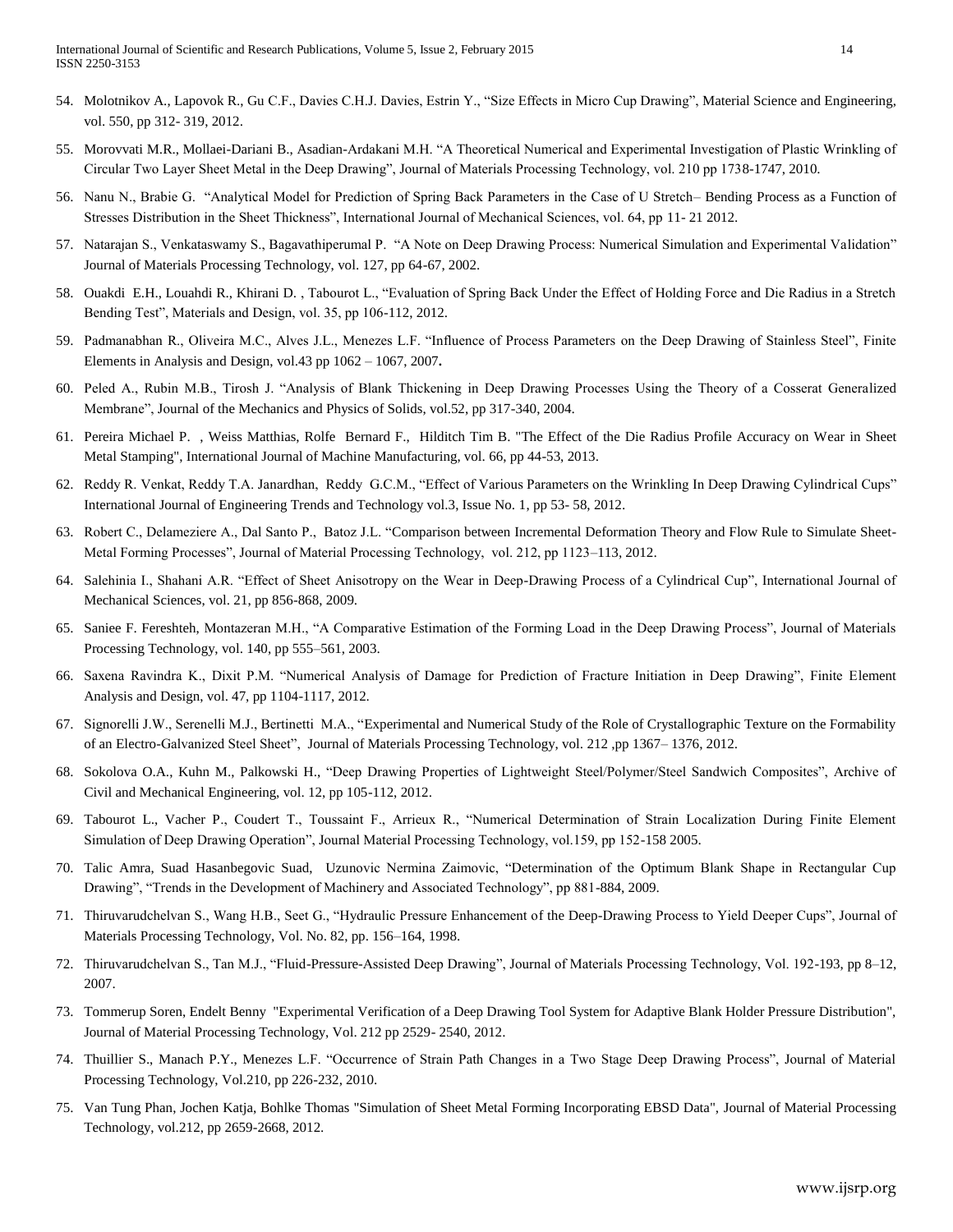- 54. Molotnikov A., Lapovok R., Gu C.F., Davies C.H.J. Davies, Estrin Y., "Size Effects in Micro Cup Drawing", Material Science and Engineering, vol. 550, pp 312- 319, 2012.
- 55. Morovvati M.R., Mollaei-Dariani B., Asadian-Ardakani M.H. "A Theoretical Numerical and Experimental Investigation of Plastic Wrinkling of Circular Two Layer Sheet Metal in the Deep Drawing", Journal of Materials Processing Technology, vol. 210 pp 1738-1747, 2010.
- 56. Nanu N., Brabie G. "Analytical Model for Prediction of Spring Back Parameters in the Case of U Stretch– Bending Process as a Function of Stresses Distribution in the Sheet Thickness", International Journal of Mechanical Sciences, vol. 64, pp 11- 21 2012.
- 57. Natarajan S., Venkataswamy S., Bagavathiperumal P. "A Note on Deep Drawing Process: Numerical Simulation and Experimental Validation" Journal of Materials Processing Technology, vol. 127, pp 64-67, 2002.
- 58. Ouakdi E.H., Louahdi R., Khirani D. , Tabourot L., "Evaluation of Spring Back Under the Effect of Holding Force and Die Radius in a Stretch Bending Test", Materials and Design, vol. 35, pp 106-112, 2012.
- 59. Padmanabhan R., Oliveira M.C., Alves J.L., Menezes L.F. "Influence of Process Parameters on the Deep Drawing of Stainless Steel", Finite Elements in Analysis and Design, vol.43 pp 1062 – 1067, 2007**.**
- 60. Peled A., Rubin M.B., Tirosh J. "Analysis of Blank Thickening in Deep Drawing Processes Using the Theory of a Cosserat Generalized Membrane", Journal of the Mechanics and Physics of Solids, vol.52, pp 317-340, 2004.
- 61. Pereira Michael P. , Weiss Matthias, Rolfe Bernard F., Hilditch Tim B. "The Effect of the Die Radius Profile Accuracy on Wear in Sheet Metal Stamping", International Journal of Machine Manufacturing, vol. 66, pp 44-53, 2013.
- 62. Reddy R. Venkat, Reddy T.A. Janardhan, Reddy G.C.M., "Effect of Various Parameters on the Wrinkling In Deep Drawing Cylindrical Cups" International Journal of Engineering Trends and Technology vol.3, Issue No. 1, pp 53- 58, 2012.
- 63. Robert C., Delameziere A., Dal Santo P., Batoz J.L. "Comparison between Incremental Deformation Theory and Flow Rule to Simulate Sheet-Metal Forming Processes", Journal of Material Processing Technology, vol. 212, pp 1123–113, 2012.
- 64. Salehinia I., Shahani A.R. "Effect of Sheet Anisotropy on the Wear in Deep-Drawing Process of a Cylindrical Cup", International Journal of Mechanical Sciences, vol. 21, pp 856-868, 2009.
- 65. Saniee F. Fereshteh, Montazeran M.H., "A Comparative Estimation of the Forming Load in the Deep Drawing Process", Journal of Materials Processing Technology, vol. 140, pp 555–561, 2003.
- 66. Saxena Ravindra K., Dixit P.M. "Numerical Analysis of Damage for Prediction of Fracture Initiation in Deep Drawing", Finite Element Analysis and Design, vol. 47, pp 1104-1117, 2012.
- 67. Signorelli J.W., Serenelli M.J., Bertinetti M.A., "Experimental and Numerical Study of the Role of Crystallographic Texture on the Formability of an Electro-Galvanized Steel Sheet", Journal of Materials Processing Technology, vol. 212 ,pp 1367– 1376, 2012.
- 68. Sokolova O.A., Kuhn M., Palkowski H., "Deep Drawing Properties of Lightweight Steel/Polymer/Steel Sandwich Composites", Archive of Civil and Mechanical Engineering, vol. 12, pp 105-112, 2012.
- 69. Tabourot L., Vacher P., Coudert T., Toussaint F., Arrieux R., "Numerical Determination of Strain Localization During Finite Element Simulation of Deep Drawing Operation", Journal Material Processing Technology, vol.159, pp 152-158 2005.
- 70. Talic Amra, Suad Hasanbegovic Suad, Uzunovic Nermina Zaimovic, "Determination of the Optimum Blank Shape in Rectangular Cup Drawing", "Trends in the Development of Machinery and Associated Technology", pp 881-884, 2009.
- 71. Thiruvarudchelvan S., Wang H.B., Seet G., "Hydraulic Pressure Enhancement of the Deep-Drawing Process to Yield Deeper Cups", Journal of Materials Processing Technology, Vol. No. 82, pp. 156–164, 1998.
- 72. Thiruvarudchelvan S., Tan M.J., "Fluid-Pressure-Assisted Deep Drawing", Journal of Materials Processing Technology, Vol. 192-193, pp 8–12, 2007.
- 73. Tommerup Soren, Endelt Benny "Experimental Verification of a Deep Drawing Tool System for Adaptive Blank Holder Pressure Distribution", Journal of Material Processing Technology, Vol. 212 pp 2529- 2540, 2012.
- 74. Thuillier S., Manach P.Y., Menezes L.F. "Occurrence of Strain Path Changes in a Two Stage Deep Drawing Process", Journal of Material Processing Technology, Vol.210, pp 226-232, 2010.
- 75. Van Tung Phan, Jochen Katja, Bohlke Thomas "Simulation of Sheet Metal Forming Incorporating EBSD Data", Journal of Material Processing Technology, vol.212, pp 2659-2668, 2012.